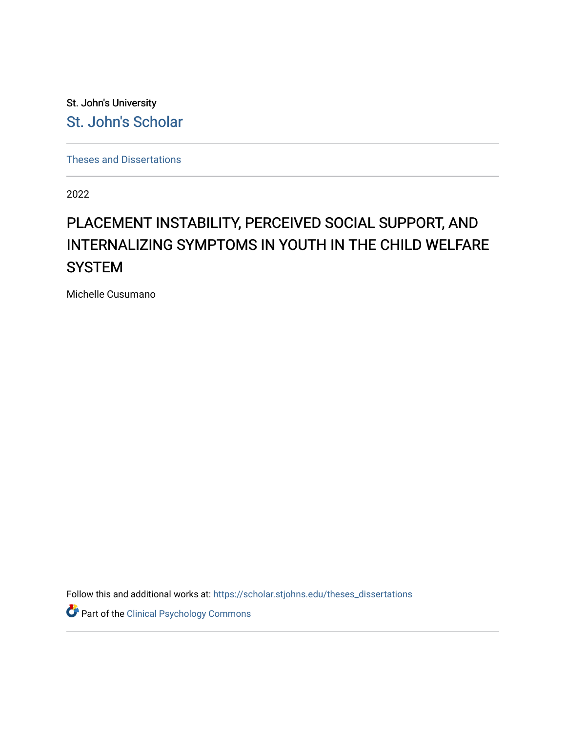St. John's University [St. John's Scholar](https://scholar.stjohns.edu/) 

[Theses and Dissertations](https://scholar.stjohns.edu/theses_dissertations)

2022

# PLACEMENT INSTABILITY, PERCEIVED SOCIAL SUPPORT, AND INTERNALIZING SYMPTOMS IN YOUTH IN THE CHILD WELFARE **SYSTEM**

Michelle Cusumano

Follow this and additional works at: [https://scholar.stjohns.edu/theses\\_dissertations](https://scholar.stjohns.edu/theses_dissertations?utm_source=scholar.stjohns.edu%2Ftheses_dissertations%2F352&utm_medium=PDF&utm_campaign=PDFCoverPages)

Part of the [Clinical Psychology Commons](http://network.bepress.com/hgg/discipline/406?utm_source=scholar.stjohns.edu%2Ftheses_dissertations%2F352&utm_medium=PDF&utm_campaign=PDFCoverPages)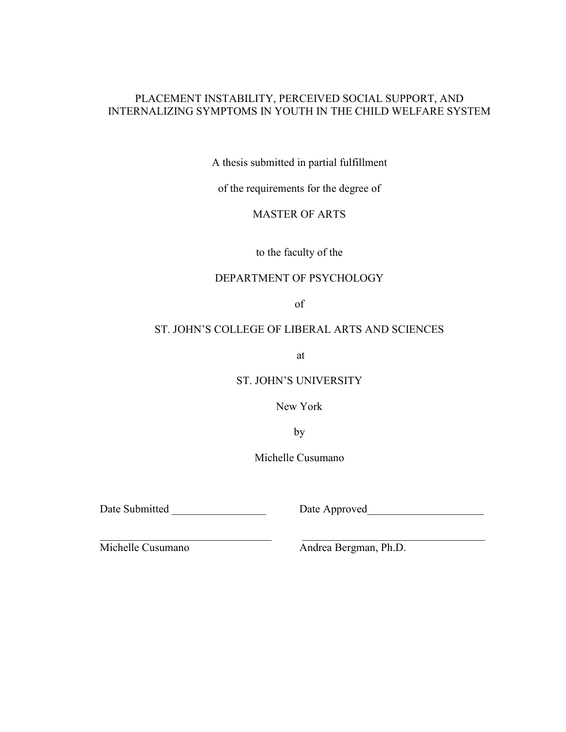## PLACEMENT INSTABILITY, PERCEIVED SOCIAL SUPPORT, AND INTERNALIZING SYMPTOMS IN YOUTH IN THE CHILD WELFARE SYSTEM

A thesis submitted in partial fulfillment

of the requirements for the degree of

MASTER OF ARTS

to the faculty of the

## DEPARTMENT OF PSYCHOLOGY

of

## ST. JOHN'S COLLEGE OF LIBERAL ARTS AND SCIENCES

at

ST. JOHN'S UNIVERSITY

New York

by

Michelle Cusumano

 $\_$  , and the state of the state of the state of the state of the state of the state of the state of the state of the state of the state of the state of the state of the state of the state of the state of the state of the

Date Submitted \_\_\_\_\_\_\_\_\_\_\_\_\_\_\_\_\_ Date Approved\_\_\_\_\_\_\_\_\_\_\_\_\_\_\_\_\_\_\_\_\_

Michelle Cusumano Andrea Bergman, Ph.D.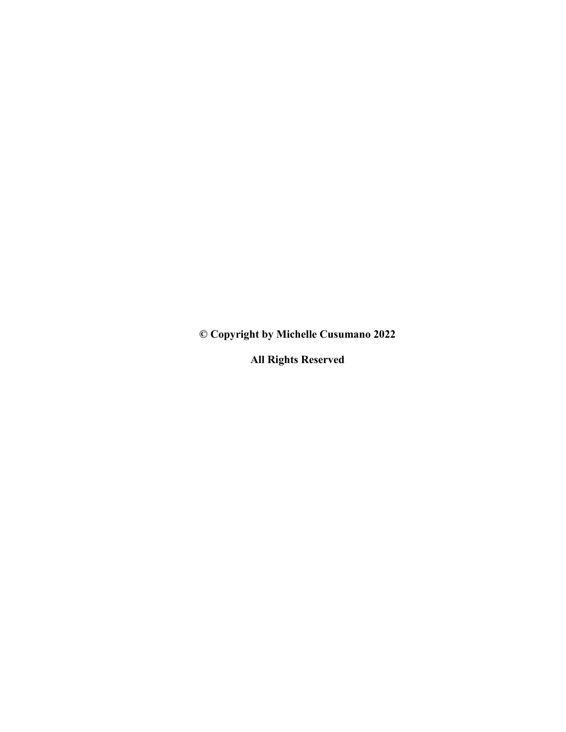**© Copyright by Michelle Cusumano 2022** 

**All Rights Reserved**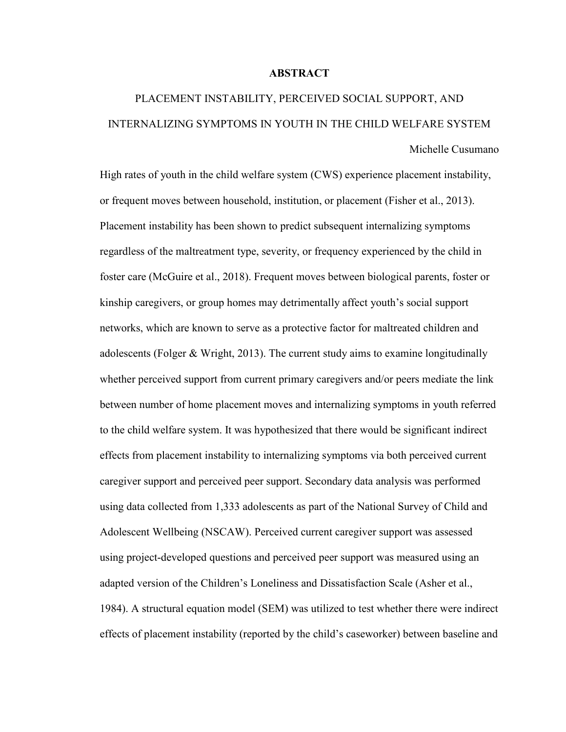#### **ABSTRACT**

# PLACEMENT INSTABILITY, PERCEIVED SOCIAL SUPPORT, AND INTERNALIZING SYMPTOMS IN YOUTH IN THE CHILD WELFARE SYSTEM Michelle Cusumano

High rates of youth in the child welfare system (CWS) experience placement instability, or frequent moves between household, institution, or placement (Fisher et al., 2013). Placement instability has been shown to predict subsequent internalizing symptoms regardless of the maltreatment type, severity, or frequency experienced by the child in foster care (McGuire et al., 2018). Frequent moves between biological parents, foster or kinship caregivers, or group homes may detrimentally affect youth's social support networks, which are known to serve as a protective factor for maltreated children and adolescents (Folger & Wright, 2013). The current study aims to examine longitudinally whether perceived support from current primary caregivers and/or peers mediate the link between number of home placement moves and internalizing symptoms in youth referred to the child welfare system. It was hypothesized that there would be significant indirect effects from placement instability to internalizing symptoms via both perceived current caregiver support and perceived peer support. Secondary data analysis was performed using data collected from 1,333 adolescents as part of the National Survey of Child and Adolescent Wellbeing (NSCAW). Perceived current caregiver support was assessed using project-developed questions and perceived peer support was measured using an adapted version of the Children's Loneliness and Dissatisfaction Scale (Asher et al., 1984). A structural equation model (SEM) was utilized to test whether there were indirect effects of placement instability (reported by the child's caseworker) between baseline and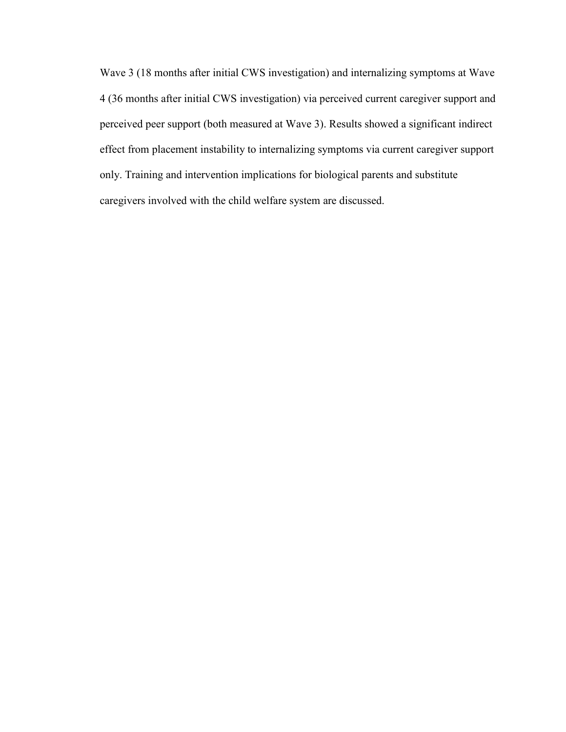Wave 3 (18 months after initial CWS investigation) and internalizing symptoms at Wave 4 (36 months after initial CWS investigation) via perceived current caregiver support and perceived peer support (both measured at Wave 3). Results showed a significant indirect effect from placement instability to internalizing symptoms via current caregiver support only. Training and intervention implications for biological parents and substitute caregivers involved with the child welfare system are discussed.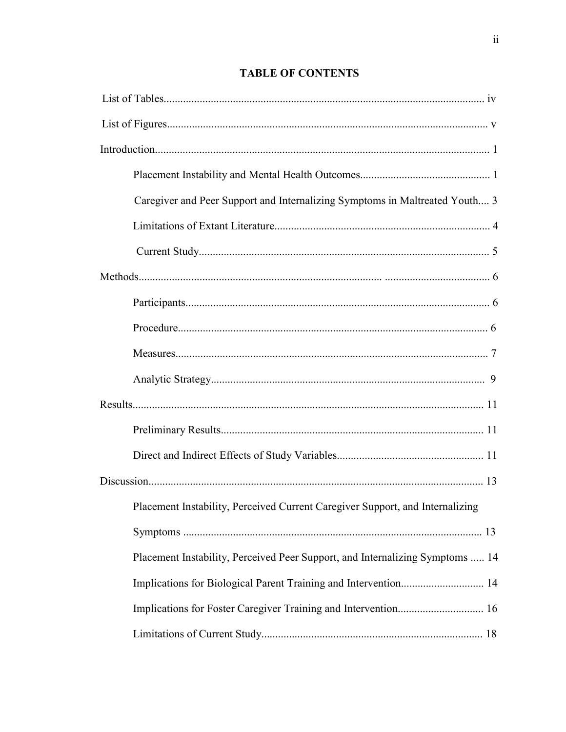# **TABLE OF CONTENTS**

| Caregiver and Peer Support and Internalizing Symptoms in Maltreated Youth 3   |
|-------------------------------------------------------------------------------|
|                                                                               |
|                                                                               |
|                                                                               |
|                                                                               |
|                                                                               |
|                                                                               |
|                                                                               |
|                                                                               |
|                                                                               |
|                                                                               |
|                                                                               |
| Placement Instability, Perceived Current Caregiver Support, and Internalizing |
|                                                                               |
| Placement Instability, Perceived Peer Support, and Internalizing Symptoms  14 |
|                                                                               |
|                                                                               |
|                                                                               |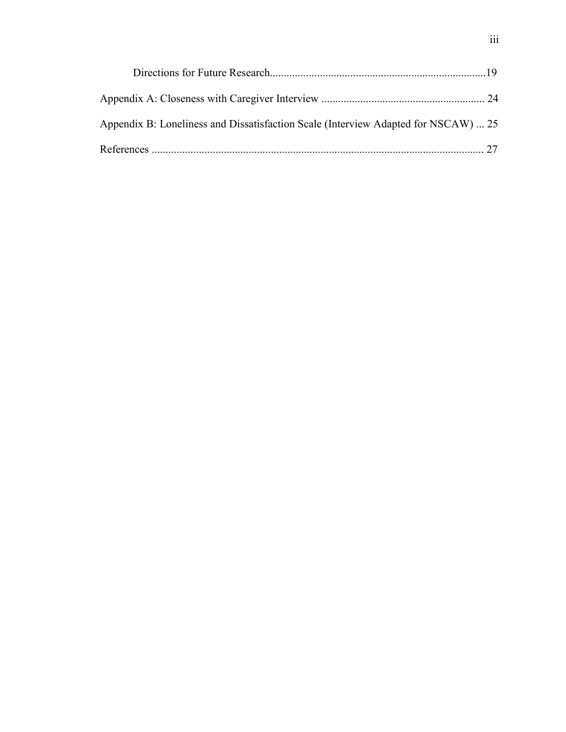| Appendix B: Loneliness and Dissatisfaction Scale (Interview Adapted for NSCAW)  25 |  |
|------------------------------------------------------------------------------------|--|
|                                                                                    |  |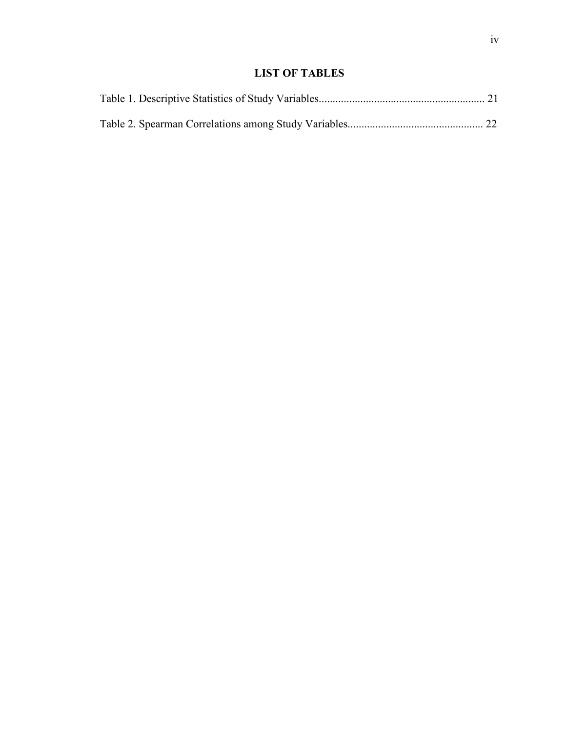# **LIST OF TABLES**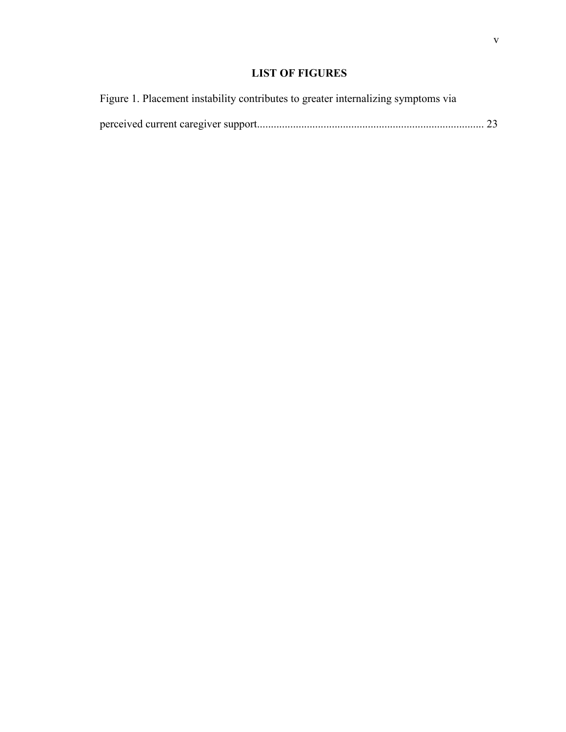# **LIST OF FIGURES**

| Figure 1. Placement instability contributes to greater internalizing symptoms via |  |
|-----------------------------------------------------------------------------------|--|
|                                                                                   |  |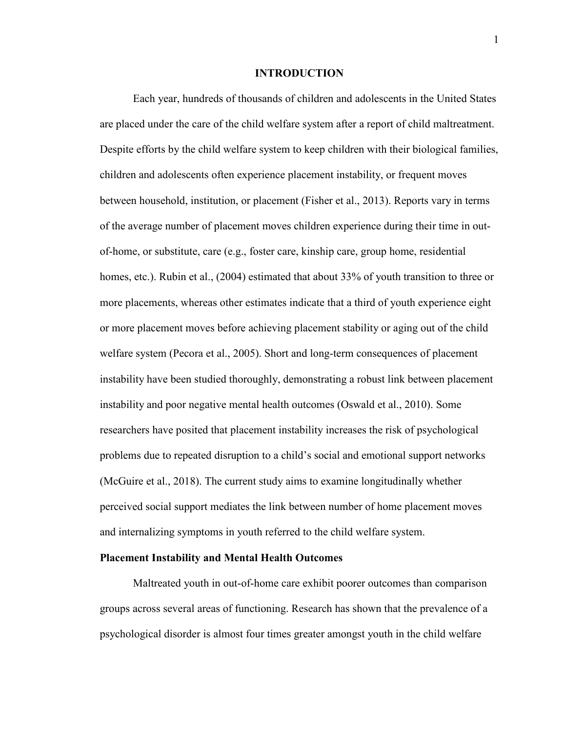#### **INTRODUCTION**

Each year, hundreds of thousands of children and adolescents in the United States are placed under the care of the child welfare system after a report of child maltreatment. Despite efforts by the child welfare system to keep children with their biological families, children and adolescents often experience placement instability, or frequent moves between household, institution, or placement (Fisher et al., 2013). Reports vary in terms of the average number of placement moves children experience during their time in outof-home, or substitute, care (e.g., foster care, kinship care, group home, residential homes, etc.). Rubin et al., (2004) estimated that about 33% of youth transition to three or more placements, whereas other estimates indicate that a third of youth experience eight or more placement moves before achieving placement stability or aging out of the child welfare system (Pecora et al., 2005). Short and long-term consequences of placement instability have been studied thoroughly, demonstrating a robust link between placement instability and poor negative mental health outcomes (Oswald et al., 2010). Some researchers have posited that placement instability increases the risk of psychological problems due to repeated disruption to a child's social and emotional support networks (McGuire et al., 2018). The current study aims to examine longitudinally whether perceived social support mediates the link between number of home placement moves and internalizing symptoms in youth referred to the child welfare system.

#### **Placement Instability and Mental Health Outcomes**

Maltreated youth in out-of-home care exhibit poorer outcomes than comparison groups across several areas of functioning. Research has shown that the prevalence of a psychological disorder is almost four times greater amongst youth in the child welfare

1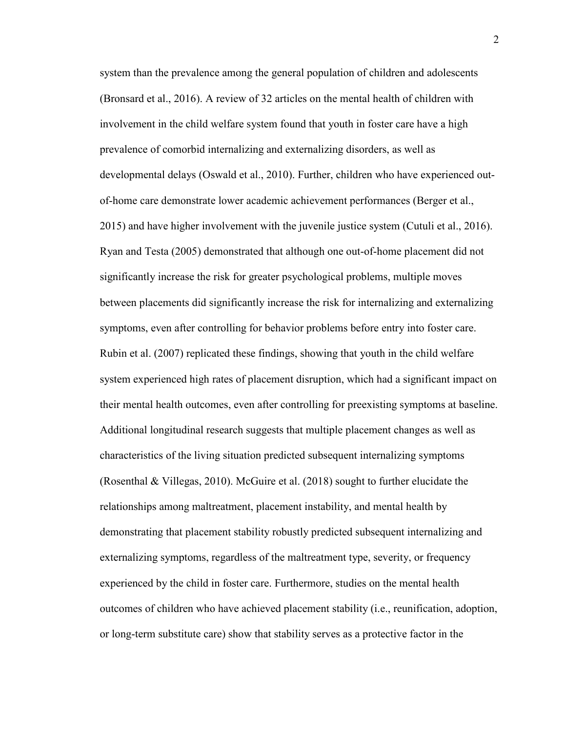system than the prevalence among the general population of children and adolescents (Bronsard et al., 2016). A review of 32 articles on the mental health of children with involvement in the child welfare system found that youth in foster care have a high prevalence of comorbid internalizing and externalizing disorders, as well as developmental delays (Oswald et al., 2010). Further, children who have experienced outof-home care demonstrate lower academic achievement performances (Berger et al., 2015) and have higher involvement with the juvenile justice system (Cutuli et al., 2016). Ryan and Testa (2005) demonstrated that although one out-of-home placement did not significantly increase the risk for greater psychological problems, multiple moves between placements did significantly increase the risk for internalizing and externalizing symptoms, even after controlling for behavior problems before entry into foster care. Rubin et al. (2007) replicated these findings, showing that youth in the child welfare system experienced high rates of placement disruption, which had a significant impact on their mental health outcomes, even after controlling for preexisting symptoms at baseline. Additional longitudinal research suggests that multiple placement changes as well as characteristics of the living situation predicted subsequent internalizing symptoms (Rosenthal & Villegas, 2010). McGuire et al. (2018) sought to further elucidate the relationships among maltreatment, placement instability, and mental health by demonstrating that placement stability robustly predicted subsequent internalizing and externalizing symptoms, regardless of the maltreatment type, severity, or frequency experienced by the child in foster care. Furthermore, studies on the mental health outcomes of children who have achieved placement stability (i.e., reunification, adoption, or long-term substitute care) show that stability serves as a protective factor in the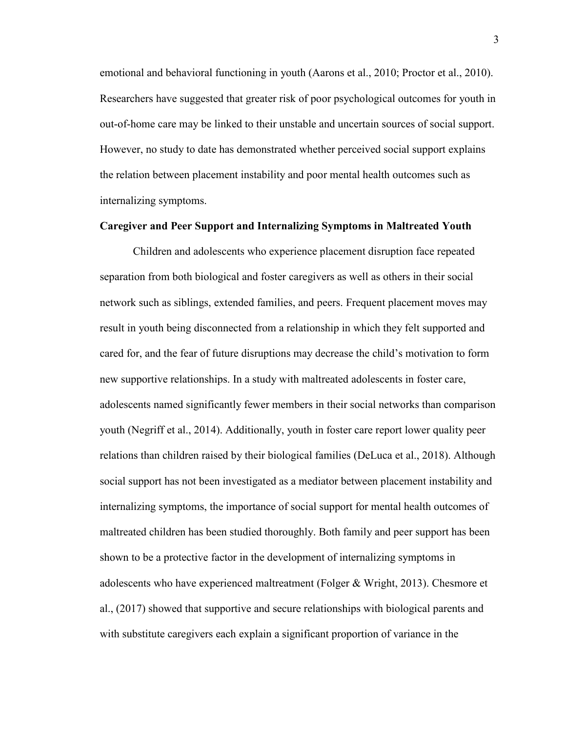emotional and behavioral functioning in youth (Aarons et al., 2010; Proctor et al., 2010). Researchers have suggested that greater risk of poor psychological outcomes for youth in out-of-home care may be linked to their unstable and uncertain sources of social support. However, no study to date has demonstrated whether perceived social support explains the relation between placement instability and poor mental health outcomes such as internalizing symptoms.

#### **Caregiver and Peer Support and Internalizing Symptoms in Maltreated Youth**

 Children and adolescents who experience placement disruption face repeated separation from both biological and foster caregivers as well as others in their social network such as siblings, extended families, and peers. Frequent placement moves may result in youth being disconnected from a relationship in which they felt supported and cared for, and the fear of future disruptions may decrease the child's motivation to form new supportive relationships. In a study with maltreated adolescents in foster care, adolescents named significantly fewer members in their social networks than comparison youth (Negriff et al., 2014). Additionally, youth in foster care report lower quality peer relations than children raised by their biological families (DeLuca et al., 2018). Although social support has not been investigated as a mediator between placement instability and internalizing symptoms, the importance of social support for mental health outcomes of maltreated children has been studied thoroughly. Both family and peer support has been shown to be a protective factor in the development of internalizing symptoms in adolescents who have experienced maltreatment (Folger & Wright, 2013). Chesmore et al., (2017) showed that supportive and secure relationships with biological parents and with substitute caregivers each explain a significant proportion of variance in the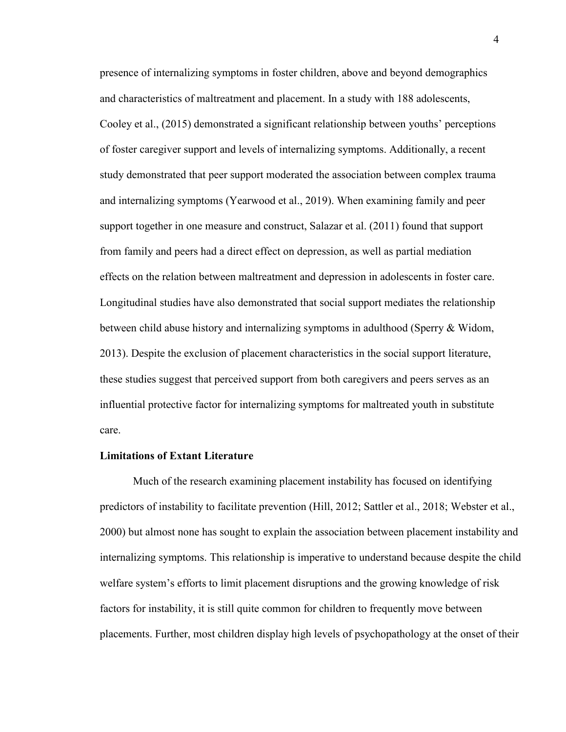presence of internalizing symptoms in foster children, above and beyond demographics and characteristics of maltreatment and placement. In a study with 188 adolescents, Cooley et al., (2015) demonstrated a significant relationship between youths' perceptions of foster caregiver support and levels of internalizing symptoms. Additionally, a recent study demonstrated that peer support moderated the association between complex trauma and internalizing symptoms (Yearwood et al., 2019). When examining family and peer support together in one measure and construct, Salazar et al. (2011) found that support from family and peers had a direct effect on depression, as well as partial mediation effects on the relation between maltreatment and depression in adolescents in foster care. Longitudinal studies have also demonstrated that social support mediates the relationship between child abuse history and internalizing symptoms in adulthood (Sperry & Widom, 2013). Despite the exclusion of placement characteristics in the social support literature, these studies suggest that perceived support from both caregivers and peers serves as an influential protective factor for internalizing symptoms for maltreated youth in substitute care.

#### **Limitations of Extant Literature**

Much of the research examining placement instability has focused on identifying predictors of instability to facilitate prevention (Hill, 2012; Sattler et al., 2018; Webster et al., 2000) but almost none has sought to explain the association between placement instability and internalizing symptoms. This relationship is imperative to understand because despite the child welfare system's efforts to limit placement disruptions and the growing knowledge of risk factors for instability, it is still quite common for children to frequently move between placements. Further, most children display high levels of psychopathology at the onset of their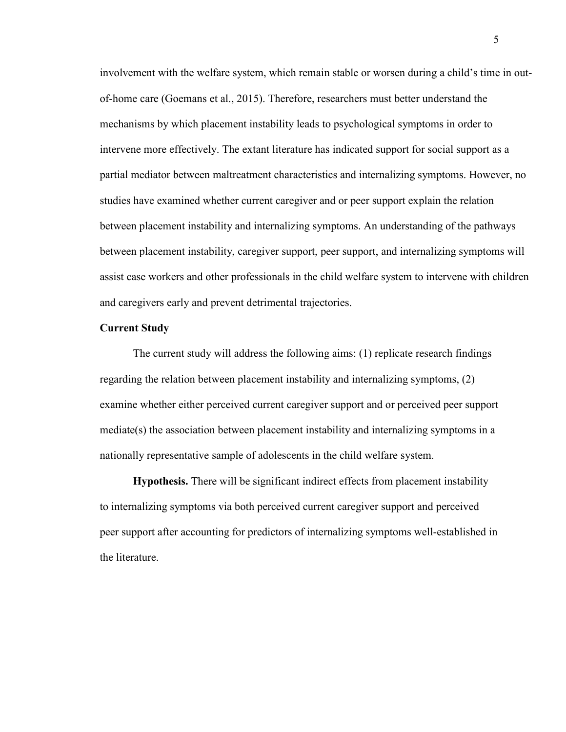involvement with the welfare system, which remain stable or worsen during a child's time in outof-home care (Goemans et al., 2015). Therefore, researchers must better understand the mechanisms by which placement instability leads to psychological symptoms in order to intervene more effectively. The extant literature has indicated support for social support as a partial mediator between maltreatment characteristics and internalizing symptoms. However, no studies have examined whether current caregiver and or peer support explain the relation between placement instability and internalizing symptoms. An understanding of the pathways between placement instability, caregiver support, peer support, and internalizing symptoms will assist case workers and other professionals in the child welfare system to intervene with children and caregivers early and prevent detrimental trajectories.

#### **Current Study**

The current study will address the following aims: (1) replicate research findings regarding the relation between placement instability and internalizing symptoms, (2) examine whether either perceived current caregiver support and or perceived peer support mediate(s) the association between placement instability and internalizing symptoms in a nationally representative sample of adolescents in the child welfare system.

**Hypothesis.** There will be significant indirect effects from placement instability to internalizing symptoms via both perceived current caregiver support and perceived peer support after accounting for predictors of internalizing symptoms well-established in the literature.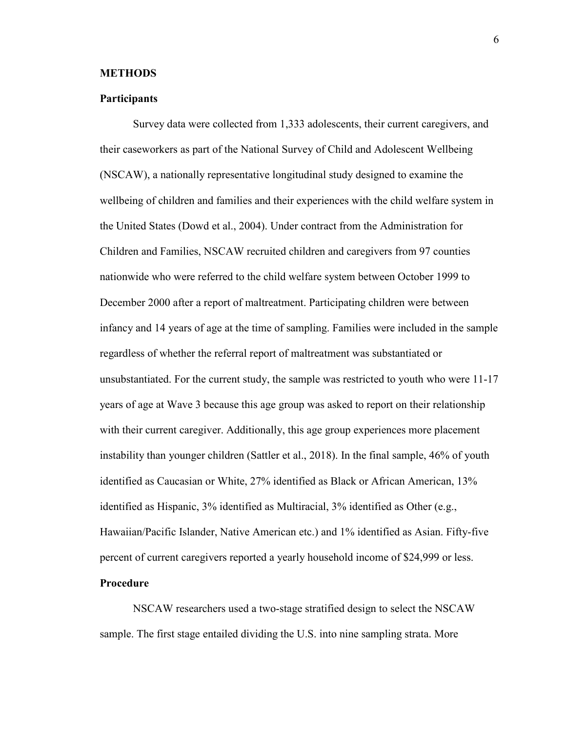#### **METHODS**

#### **Participants**

Survey data were collected from 1,333 adolescents, their current caregivers, and their caseworkers as part of the National Survey of Child and Adolescent Wellbeing (NSCAW), a nationally representative longitudinal study designed to examine the wellbeing of children and families and their experiences with the child welfare system in the United States (Dowd et al., 2004). Under contract from the Administration for Children and Families, NSCAW recruited children and caregivers from 97 counties nationwide who were referred to the child welfare system between October 1999 to December 2000 after a report of maltreatment. Participating children were between infancy and 14 years of age at the time of sampling. Families were included in the sample regardless of whether the referral report of maltreatment was substantiated or unsubstantiated. For the current study, the sample was restricted to youth who were 11-17 years of age at Wave 3 because this age group was asked to report on their relationship with their current caregiver. Additionally, this age group experiences more placement instability than younger children (Sattler et al., 2018). In the final sample, 46% of youth identified as Caucasian or White, 27% identified as Black or African American, 13% identified as Hispanic, 3% identified as Multiracial, 3% identified as Other (e.g., Hawaiian/Pacific Islander, Native American etc.) and 1% identified as Asian. Fifty-five percent of current caregivers reported a yearly household income of \$24,999 or less.

#### **Procedure**

NSCAW researchers used a two-stage stratified design to select the NSCAW sample. The first stage entailed dividing the U.S. into nine sampling strata. More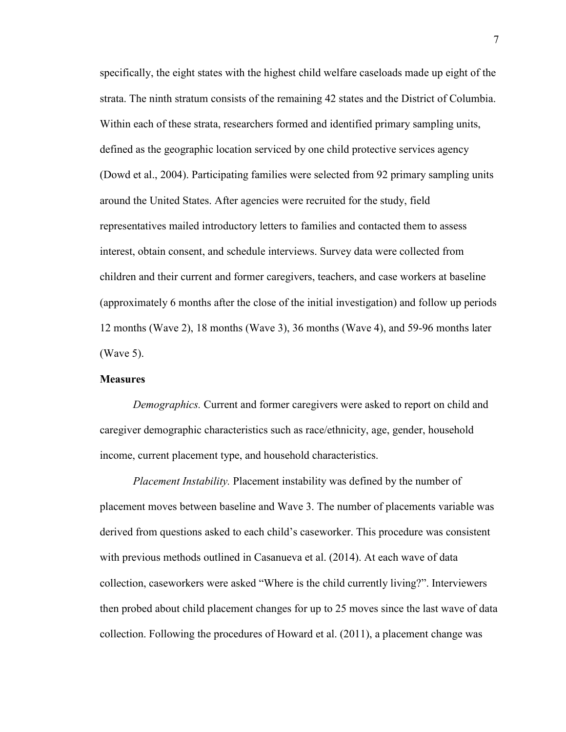specifically, the eight states with the highest child welfare caseloads made up eight of the strata. The ninth stratum consists of the remaining 42 states and the District of Columbia. Within each of these strata, researchers formed and identified primary sampling units, defined as the geographic location serviced by one child protective services agency (Dowd et al., 2004). Participating families were selected from 92 primary sampling units around the United States. After agencies were recruited for the study, field representatives mailed introductory letters to families and contacted them to assess interest, obtain consent, and schedule interviews. Survey data were collected from children and their current and former caregivers, teachers, and case workers at baseline (approximately 6 months after the close of the initial investigation) and follow up periods 12 months (Wave 2), 18 months (Wave 3), 36 months (Wave 4), and 59-96 months later (Wave 5).

#### **Measures**

*Demographics.* Current and former caregivers were asked to report on child and caregiver demographic characteristics such as race/ethnicity, age, gender, household income, current placement type, and household characteristics.

*Placement Instability.* Placement instability was defined by the number of placement moves between baseline and Wave 3. The number of placements variable was derived from questions asked to each child's caseworker. This procedure was consistent with previous methods outlined in Casanueva et al. (2014). At each wave of data collection, caseworkers were asked "Where is the child currently living?". Interviewers then probed about child placement changes for up to 25 moves since the last wave of data collection. Following the procedures of Howard et al. (2011), a placement change was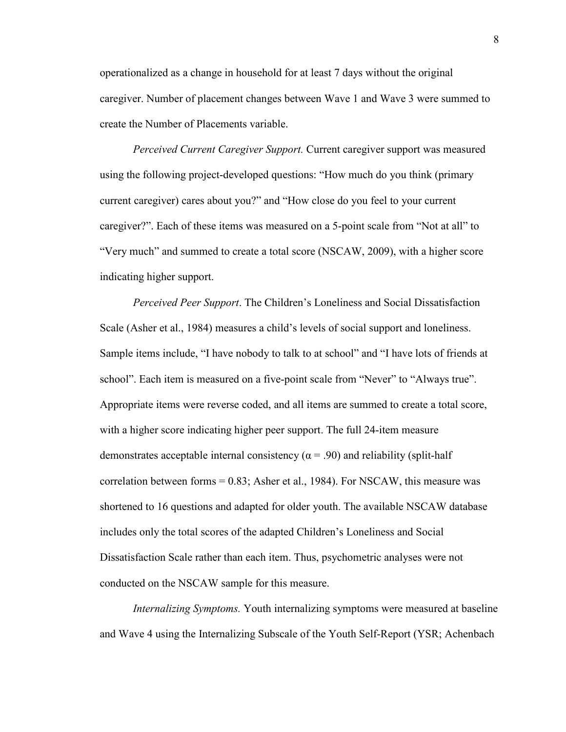operationalized as a change in household for at least 7 days without the original caregiver. Number of placement changes between Wave 1 and Wave 3 were summed to create the Number of Placements variable.

*Perceived Current Caregiver Support.* Current caregiver support was measured using the following project-developed questions: "How much do you think (primary current caregiver) cares about you?" and "How close do you feel to your current caregiver?". Each of these items was measured on a 5-point scale from "Not at all" to "Very much" and summed to create a total score (NSCAW, 2009), with a higher score indicating higher support.

*Perceived Peer Support*. The Children's Loneliness and Social Dissatisfaction Scale (Asher et al., 1984) measures a child's levels of social support and loneliness. Sample items include, "I have nobody to talk to at school" and "I have lots of friends at school". Each item is measured on a five-point scale from "Never" to "Always true". Appropriate items were reverse coded, and all items are summed to create a total score, with a higher score indicating higher peer support. The full 24-item measure demonstrates acceptable internal consistency ( $\alpha$  = .90) and reliability (split-half correlation between forms = 0.83; Asher et al., 1984). For NSCAW, this measure was shortened to 16 questions and adapted for older youth. The available NSCAW database includes only the total scores of the adapted Children's Loneliness and Social Dissatisfaction Scale rather than each item. Thus, psychometric analyses were not conducted on the NSCAW sample for this measure.

*Internalizing Symptoms.* Youth internalizing symptoms were measured at baseline and Wave 4 using the Internalizing Subscale of the Youth Self-Report (YSR; Achenbach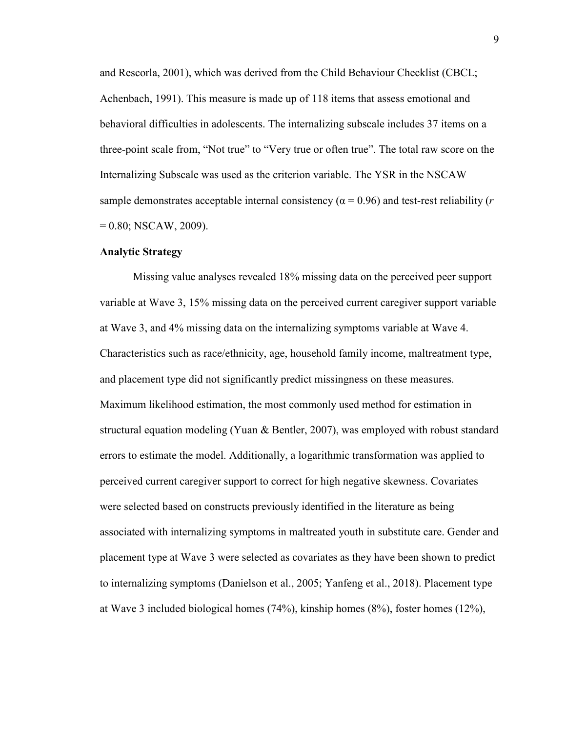and Rescorla, 2001), which was derived from the Child Behaviour Checklist (CBCL; Achenbach, 1991). This measure is made up of 118 items that assess emotional and behavioral difficulties in adolescents. The internalizing subscale includes 37 items on a three-point scale from, "Not true" to "Very true or often true". The total raw score on the Internalizing Subscale was used as the criterion variable. The YSR in the NSCAW sample demonstrates acceptable internal consistency ( $\alpha$  = 0.96) and test-rest reliability (*r*  $= 0.80$ ; NSCAW, 2009).

#### **Analytic Strategy**

Missing value analyses revealed 18% missing data on the perceived peer support variable at Wave 3, 15% missing data on the perceived current caregiver support variable at Wave 3, and 4% missing data on the internalizing symptoms variable at Wave 4. Characteristics such as race/ethnicity, age, household family income, maltreatment type, and placement type did not significantly predict missingness on these measures. Maximum likelihood estimation, the most commonly used method for estimation in structural equation modeling (Yuan & Bentler, 2007), was employed with robust standard errors to estimate the model. Additionally, a logarithmic transformation was applied to perceived current caregiver support to correct for high negative skewness. Covariates were selected based on constructs previously identified in the literature as being associated with internalizing symptoms in maltreated youth in substitute care. Gender and placement type at Wave 3 were selected as covariates as they have been shown to predict to internalizing symptoms (Danielson et al., 2005; Yanfeng et al., 2018). Placement type at Wave 3 included biological homes (74%), kinship homes (8%), foster homes (12%),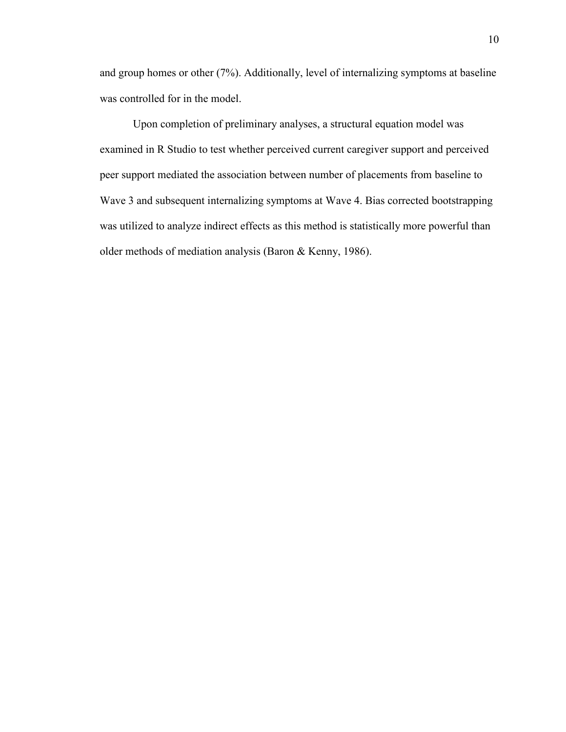and group homes or other (7%). Additionally, level of internalizing symptoms at baseline was controlled for in the model.

 Upon completion of preliminary analyses, a structural equation model was examined in R Studio to test whether perceived current caregiver support and perceived peer support mediated the association between number of placements from baseline to Wave 3 and subsequent internalizing symptoms at Wave 4. Bias corrected bootstrapping was utilized to analyze indirect effects as this method is statistically more powerful than older methods of mediation analysis (Baron & Kenny, 1986).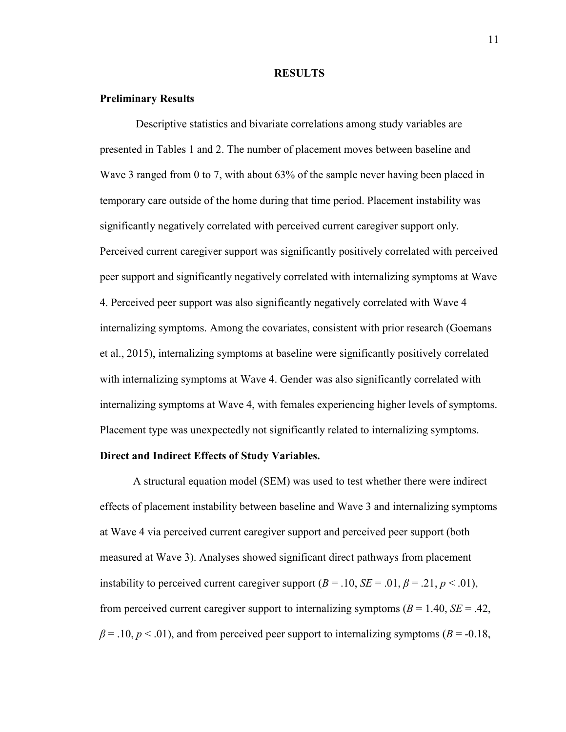#### **RESULTS**

#### **Preliminary Results**

Descriptive statistics and bivariate correlations among study variables are presented in Tables 1 and 2. The number of placement moves between baseline and Wave 3 ranged from 0 to 7, with about 63% of the sample never having been placed in temporary care outside of the home during that time period. Placement instability was significantly negatively correlated with perceived current caregiver support only. Perceived current caregiver support was significantly positively correlated with perceived peer support and significantly negatively correlated with internalizing symptoms at Wave 4. Perceived peer support was also significantly negatively correlated with Wave 4 internalizing symptoms. Among the covariates, consistent with prior research (Goemans et al., 2015), internalizing symptoms at baseline were significantly positively correlated with internalizing symptoms at Wave 4. Gender was also significantly correlated with internalizing symptoms at Wave 4, with females experiencing higher levels of symptoms. Placement type was unexpectedly not significantly related to internalizing symptoms.

#### **Direct and Indirect Effects of Study Variables.**

A structural equation model (SEM) was used to test whether there were indirect effects of placement instability between baseline and Wave 3 and internalizing symptoms at Wave 4 via perceived current caregiver support and perceived peer support (both measured at Wave 3). Analyses showed significant direct pathways from placement instability to perceived current caregiver support  $(B = .10, SE = .01, \beta = .21, p < .01)$ , from perceived current caregiver support to internalizing symptoms  $(B = 1.40, SE = .42,$  $\beta$  = .10,  $p$  < .01), and from perceived peer support to internalizing symptoms ( $B$  = -0.18,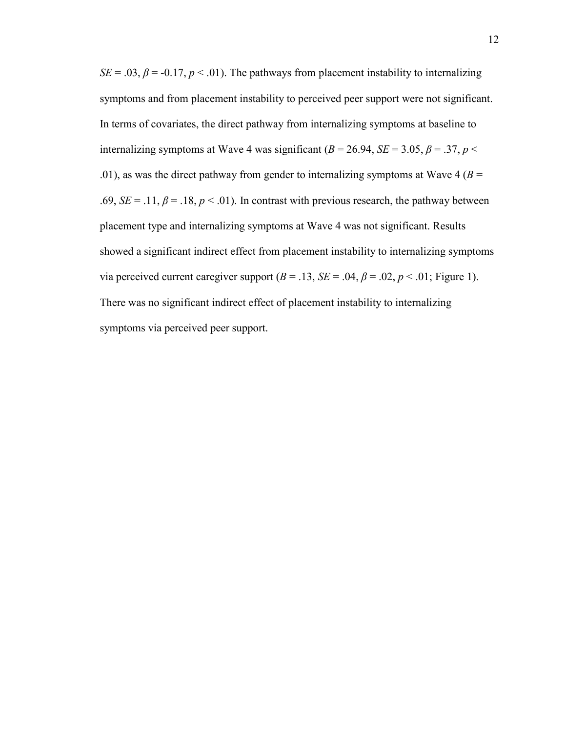*SE* = .03,  $\beta$  = -0.17, *p* < .01). The pathways from placement instability to internalizing symptoms and from placement instability to perceived peer support were not significant. In terms of covariates, the direct pathway from internalizing symptoms at baseline to internalizing symptoms at Wave 4 was significant ( $B = 26.94$ ,  $SE = 3.05$ ,  $\beta = .37$ ,  $p <$ .01), as was the direct pathway from gender to internalizing symptoms at Wave 4 ( $B =$ .69,  $SE = .11$ ,  $\beta = .18$ ,  $p < .01$ ). In contrast with previous research, the pathway between placement type and internalizing symptoms at Wave 4 was not significant. Results showed a significant indirect effect from placement instability to internalizing symptoms via perceived current caregiver support  $(B = .13, SE = .04, \beta = .02, p < .01$ ; Figure 1). There was no significant indirect effect of placement instability to internalizing symptoms via perceived peer support.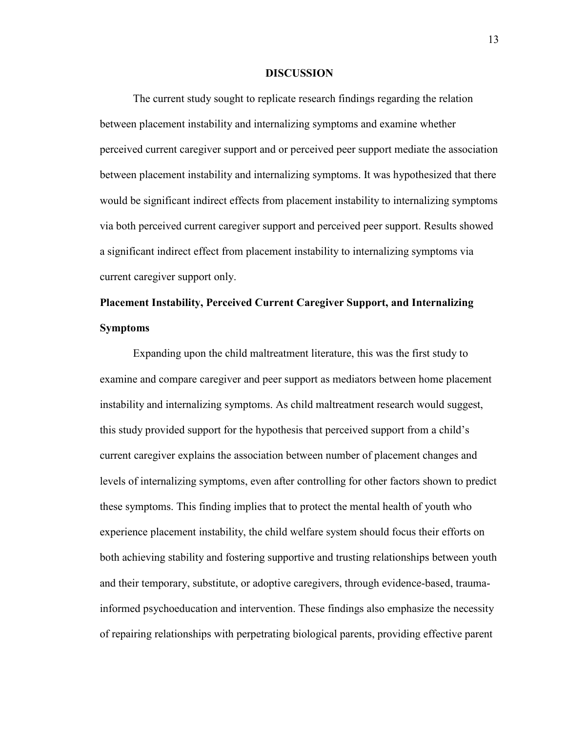#### **DISCUSSION**

 The current study sought to replicate research findings regarding the relation between placement instability and internalizing symptoms and examine whether perceived current caregiver support and or perceived peer support mediate the association between placement instability and internalizing symptoms. It was hypothesized that there would be significant indirect effects from placement instability to internalizing symptoms via both perceived current caregiver support and perceived peer support. Results showed a significant indirect effect from placement instability to internalizing symptoms via current caregiver support only.

# **Placement Instability, Perceived Current Caregiver Support, and Internalizing Symptoms**

Expanding upon the child maltreatment literature, this was the first study to examine and compare caregiver and peer support as mediators between home placement instability and internalizing symptoms. As child maltreatment research would suggest, this study provided support for the hypothesis that perceived support from a child's current caregiver explains the association between number of placement changes and levels of internalizing symptoms, even after controlling for other factors shown to predict these symptoms. This finding implies that to protect the mental health of youth who experience placement instability, the child welfare system should focus their efforts on both achieving stability and fostering supportive and trusting relationships between youth and their temporary, substitute, or adoptive caregivers, through evidence-based, traumainformed psychoeducation and intervention. These findings also emphasize the necessity of repairing relationships with perpetrating biological parents, providing effective parent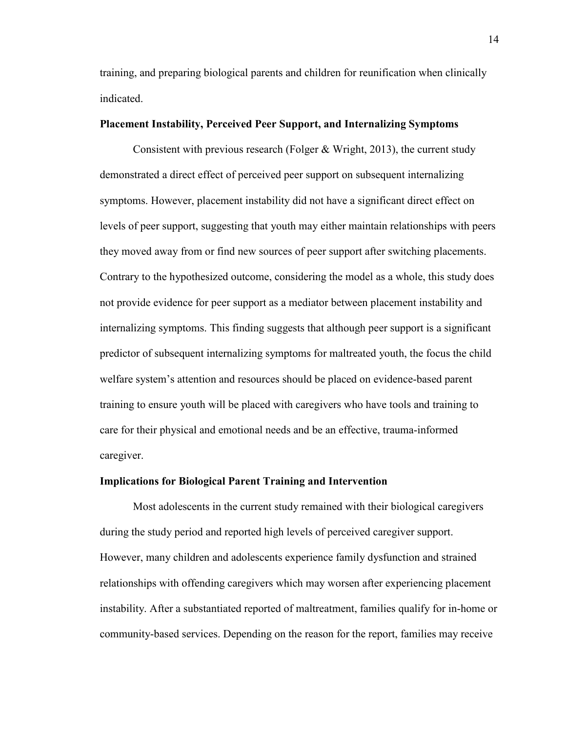training, and preparing biological parents and children for reunification when clinically indicated.

#### **Placement Instability, Perceived Peer Support, and Internalizing Symptoms**

Consistent with previous research (Folger & Wright, 2013), the current study demonstrated a direct effect of perceived peer support on subsequent internalizing symptoms. However, placement instability did not have a significant direct effect on levels of peer support, suggesting that youth may either maintain relationships with peers they moved away from or find new sources of peer support after switching placements. Contrary to the hypothesized outcome, considering the model as a whole, this study does not provide evidence for peer support as a mediator between placement instability and internalizing symptoms. This finding suggests that although peer support is a significant predictor of subsequent internalizing symptoms for maltreated youth, the focus the child welfare system's attention and resources should be placed on evidence-based parent training to ensure youth will be placed with caregivers who have tools and training to care for their physical and emotional needs and be an effective, trauma-informed caregiver.

#### **Implications for Biological Parent Training and Intervention**

Most adolescents in the current study remained with their biological caregivers during the study period and reported high levels of perceived caregiver support. However, many children and adolescents experience family dysfunction and strained relationships with offending caregivers which may worsen after experiencing placement instability. After a substantiated reported of maltreatment, families qualify for in-home or community-based services. Depending on the reason for the report, families may receive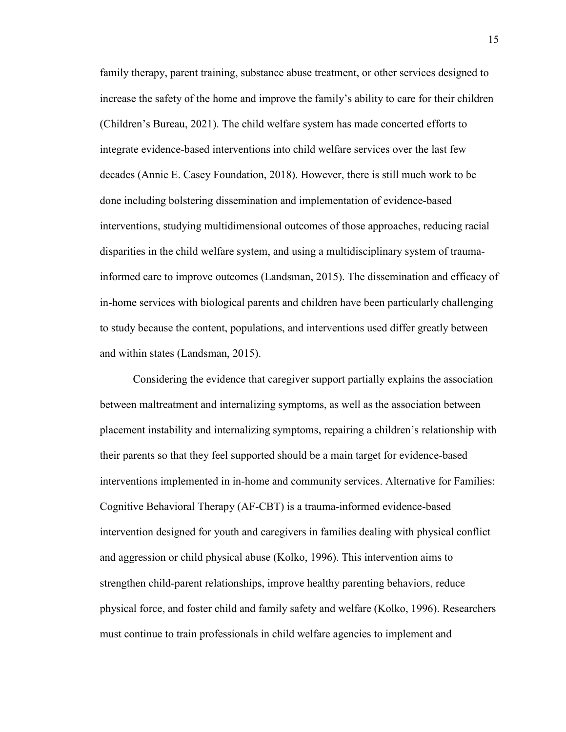family therapy, parent training, substance abuse treatment, or other services designed to increase the safety of the home and improve the family's ability to care for their children (Children's Bureau, 2021). The child welfare system has made concerted efforts to integrate evidence-based interventions into child welfare services over the last few decades (Annie E. Casey Foundation, 2018). However, there is still much work to be done including bolstering dissemination and implementation of evidence-based interventions, studying multidimensional outcomes of those approaches, reducing racial disparities in the child welfare system, and using a multidisciplinary system of traumainformed care to improve outcomes (Landsman, 2015). The dissemination and efficacy of in-home services with biological parents and children have been particularly challenging to study because the content, populations, and interventions used differ greatly between and within states (Landsman, 2015).

Considering the evidence that caregiver support partially explains the association between maltreatment and internalizing symptoms, as well as the association between placement instability and internalizing symptoms, repairing a children's relationship with their parents so that they feel supported should be a main target for evidence-based interventions implemented in in-home and community services. Alternative for Families: Cognitive Behavioral Therapy (AF-CBT) is a trauma-informed evidence-based intervention designed for youth and caregivers in families dealing with physical conflict and aggression or child physical abuse (Kolko, 1996). This intervention aims to strengthen child-parent relationships, improve healthy parenting behaviors, reduce physical force, and foster child and family safety and welfare (Kolko, 1996). Researchers must continue to train professionals in child welfare agencies to implement and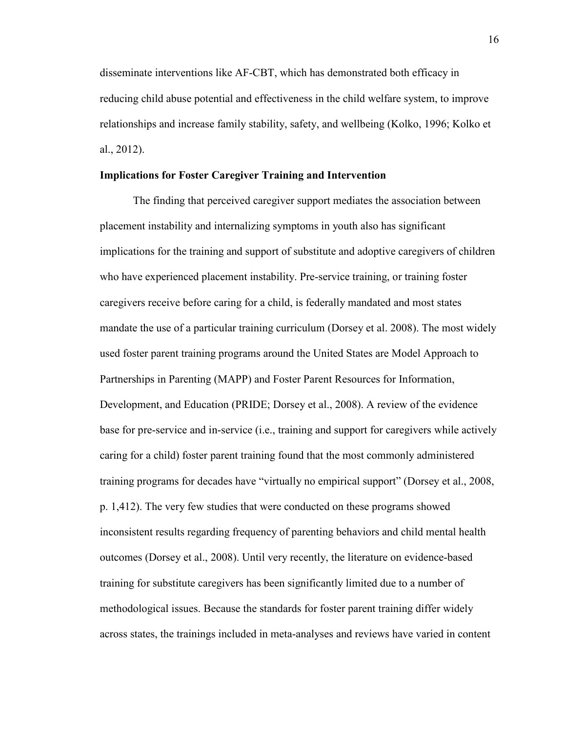disseminate interventions like AF-CBT, which has demonstrated both efficacy in reducing child abuse potential and effectiveness in the child welfare system, to improve relationships and increase family stability, safety, and wellbeing (Kolko, 1996; Kolko et al., 2012).

#### **Implications for Foster Caregiver Training and Intervention**

The finding that perceived caregiver support mediates the association between placement instability and internalizing symptoms in youth also has significant implications for the training and support of substitute and adoptive caregivers of children who have experienced placement instability. Pre-service training, or training foster caregivers receive before caring for a child, is federally mandated and most states mandate the use of a particular training curriculum (Dorsey et al. 2008). The most widely used foster parent training programs around the United States are Model Approach to Partnerships in Parenting (MAPP) and Foster Parent Resources for Information, Development, and Education (PRIDE; Dorsey et al., 2008). A review of the evidence base for pre-service and in-service (i.e., training and support for caregivers while actively caring for a child) foster parent training found that the most commonly administered training programs for decades have "virtually no empirical support" (Dorsey et al., 2008, p. 1,412). The very few studies that were conducted on these programs showed inconsistent results regarding frequency of parenting behaviors and child mental health outcomes (Dorsey et al., 2008). Until very recently, the literature on evidence-based training for substitute caregivers has been significantly limited due to a number of methodological issues. Because the standards for foster parent training differ widely across states, the trainings included in meta-analyses and reviews have varied in content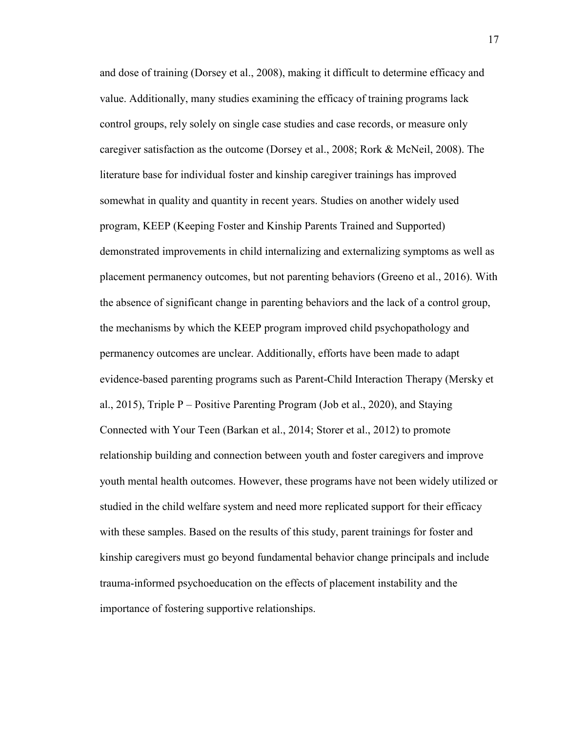and dose of training (Dorsey et al., 2008), making it difficult to determine efficacy and value. Additionally, many studies examining the efficacy of training programs lack control groups, rely solely on single case studies and case records, or measure only caregiver satisfaction as the outcome (Dorsey et al., 2008; Rork & McNeil, 2008). The literature base for individual foster and kinship caregiver trainings has improved somewhat in quality and quantity in recent years. Studies on another widely used program, KEEP (Keeping Foster and Kinship Parents Trained and Supported) demonstrated improvements in child internalizing and externalizing symptoms as well as placement permanency outcomes, but not parenting behaviors (Greeno et al., 2016). With the absence of significant change in parenting behaviors and the lack of a control group, the mechanisms by which the KEEP program improved child psychopathology and permanency outcomes are unclear. Additionally, efforts have been made to adapt evidence-based parenting programs such as Parent-Child Interaction Therapy (Mersky et al., 2015), Triple  $P -$  Positive Parenting Program (Job et al., 2020), and Staying Connected with Your Teen (Barkan et al., 2014; Storer et al., 2012) to promote relationship building and connection between youth and foster caregivers and improve youth mental health outcomes. However, these programs have not been widely utilized or studied in the child welfare system and need more replicated support for their efficacy with these samples. Based on the results of this study, parent trainings for foster and kinship caregivers must go beyond fundamental behavior change principals and include trauma-informed psychoeducation on the effects of placement instability and the importance of fostering supportive relationships.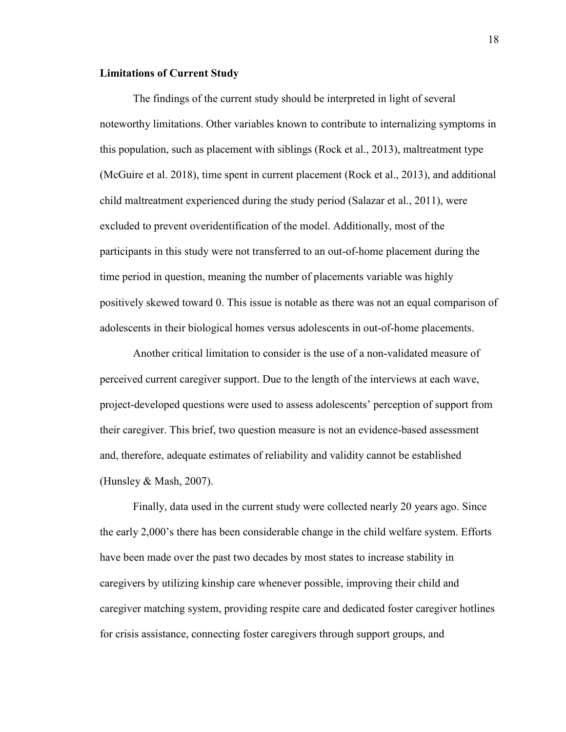#### **Limitations of Current Study**

The findings of the current study should be interpreted in light of several noteworthy limitations. Other variables known to contribute to internalizing symptoms in this population, such as placement with siblings (Rock et al., 2013), maltreatment type (McGuire et al. 2018), time spent in current placement (Rock et al., 2013), and additional child maltreatment experienced during the study period (Salazar et al., 2011), were excluded to prevent overidentification of the model. Additionally, most of the participants in this study were not transferred to an out-of-home placement during the time period in question, meaning the number of placements variable was highly positively skewed toward 0. This issue is notable as there was not an equal comparison of adolescents in their biological homes versus adolescents in out-of-home placements.

 Another critical limitation to consider is the use of a non-validated measure of perceived current caregiver support. Due to the length of the interviews at each wave, project-developed questions were used to assess adolescents' perception of support from their caregiver. This brief, two question measure is not an evidence-based assessment and, therefore, adequate estimates of reliability and validity cannot be established (Hunsley & Mash, 2007).

 Finally, data used in the current study were collected nearly 20 years ago. Since the early 2,000's there has been considerable change in the child welfare system. Efforts have been made over the past two decades by most states to increase stability in caregivers by utilizing kinship care whenever possible, improving their child and caregiver matching system, providing respite care and dedicated foster caregiver hotlines for crisis assistance, connecting foster caregivers through support groups, and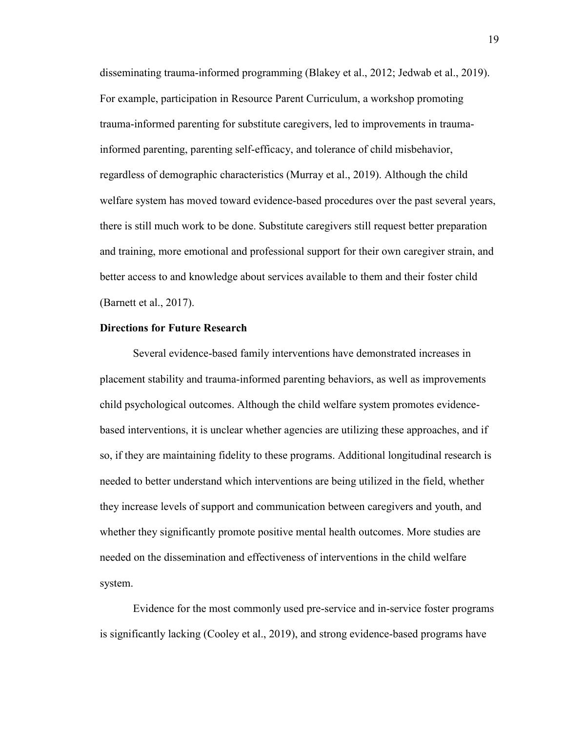disseminating trauma-informed programming (Blakey et al., 2012; Jedwab et al., 2019). For example, participation in Resource Parent Curriculum, a workshop promoting trauma-informed parenting for substitute caregivers, led to improvements in traumainformed parenting, parenting self-efficacy, and tolerance of child misbehavior, regardless of demographic characteristics (Murray et al., 2019). Although the child welfare system has moved toward evidence-based procedures over the past several years, there is still much work to be done. Substitute caregivers still request better preparation and training, more emotional and professional support for their own caregiver strain, and better access to and knowledge about services available to them and their foster child (Barnett et al., 2017).

#### **Directions for Future Research**

Several evidence-based family interventions have demonstrated increases in placement stability and trauma-informed parenting behaviors, as well as improvements child psychological outcomes. Although the child welfare system promotes evidencebased interventions, it is unclear whether agencies are utilizing these approaches, and if so, if they are maintaining fidelity to these programs. Additional longitudinal research is needed to better understand which interventions are being utilized in the field, whether they increase levels of support and communication between caregivers and youth, and whether they significantly promote positive mental health outcomes. More studies are needed on the dissemination and effectiveness of interventions in the child welfare system.

 Evidence for the most commonly used pre-service and in-service foster programs is significantly lacking (Cooley et al., 2019), and strong evidence-based programs have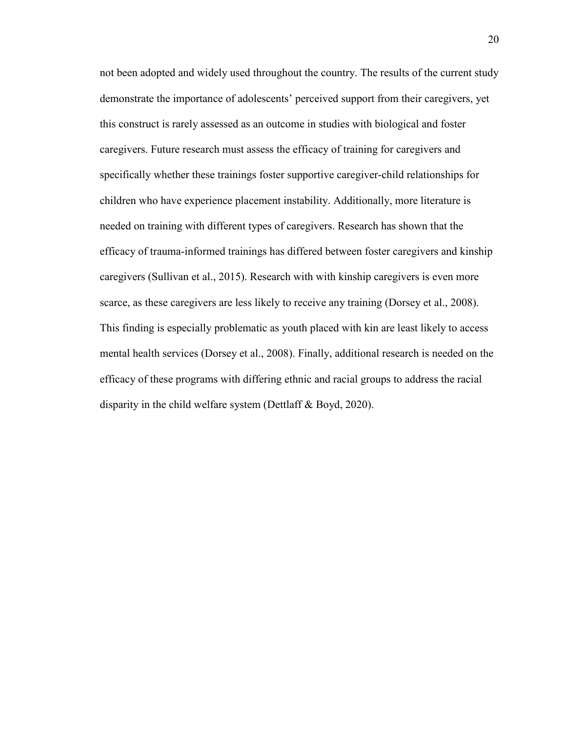not been adopted and widely used throughout the country. The results of the current study demonstrate the importance of adolescents' perceived support from their caregivers, yet this construct is rarely assessed as an outcome in studies with biological and foster caregivers. Future research must assess the efficacy of training for caregivers and specifically whether these trainings foster supportive caregiver-child relationships for children who have experience placement instability. Additionally, more literature is needed on training with different types of caregivers. Research has shown that the efficacy of trauma-informed trainings has differed between foster caregivers and kinship caregivers (Sullivan et al., 2015). Research with with kinship caregivers is even more scarce, as these caregivers are less likely to receive any training (Dorsey et al., 2008). This finding is especially problematic as youth placed with kin are least likely to access mental health services (Dorsey et al., 2008). Finally, additional research is needed on the efficacy of these programs with differing ethnic and racial groups to address the racial disparity in the child welfare system (Dettlaff & Boyd, 2020).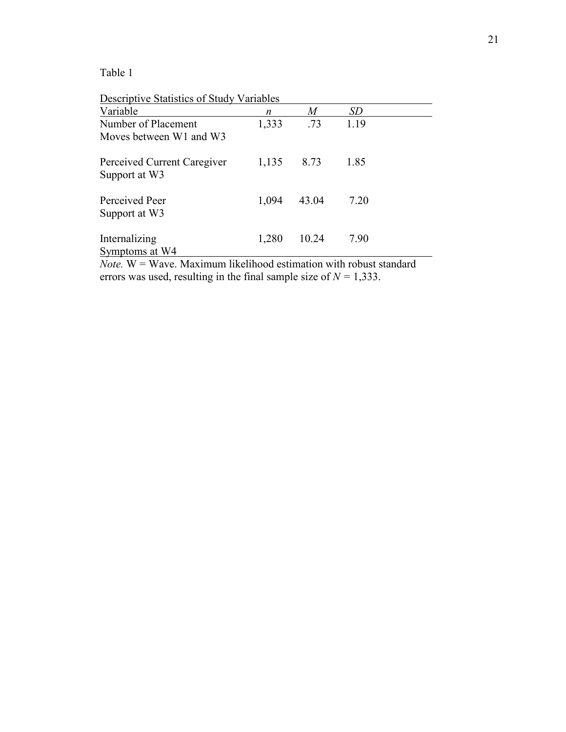Table 1

Descriptive Statistics of Study Variables

| Variable                                     | n     | $\boldsymbol{M}$ | SD   |  |
|----------------------------------------------|-------|------------------|------|--|
| Number of Placement                          | 1,333 | .73              | 1.19 |  |
| Moves between W1 and W3                      |       |                  |      |  |
| Perceived Current Caregiver<br>Support at W3 | 1,135 | 8.73             | 1.85 |  |
| Perceived Peer<br>Support at W3              | 1,094 | 43.04            | 7.20 |  |
| Internalizing<br>Symptoms at W4              | 1,280 | 10.24            | 7.90 |  |

*Note.* W = Wave. Maximum likelihood estimation with robust standard errors was used, resulting in the final sample size of  $N = 1,333$ .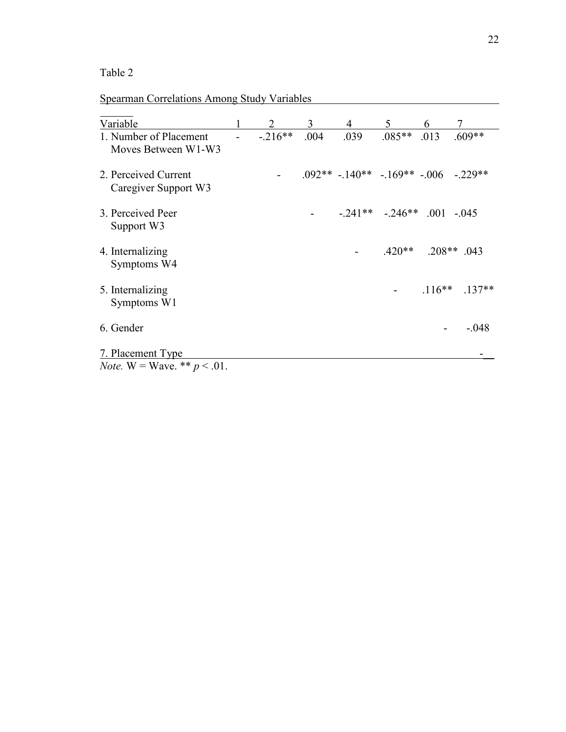# Table 2

# Spearman Correlations Among Study Variables

| Variable                                                   |           | 3    | 4                                              | 5                   | 6        |               |
|------------------------------------------------------------|-----------|------|------------------------------------------------|---------------------|----------|---------------|
| 1. Number of Placement<br>Moves Between W1-W3              | $-.216**$ | .004 | .039                                           | $.085**$            | .013     | $.609**$      |
| 2. Perceived Current<br>Caregiver Support W3               |           |      | $.092**$ $-.140**$ $-.169**$ $-.006$ $-.229**$ |                     |          |               |
| 3. Perceived Peer<br>Support W3                            |           |      |                                                | $-.241**$ $-.246**$ |          | $.001 - .045$ |
| 4. Internalizing<br>Symptoms W4                            |           |      |                                                | $.420**$            |          | $.208**$ .043 |
| 5. Internalizing<br>Symptoms W1                            |           |      |                                                |                     | $.116**$ | $.137**$      |
| 6. Gender                                                  |           |      |                                                |                     |          | $-.048$       |
| 7. Placement Type<br><i>Note.</i> W = Wave. ** $p < .01$ . |           |      |                                                |                     |          |               |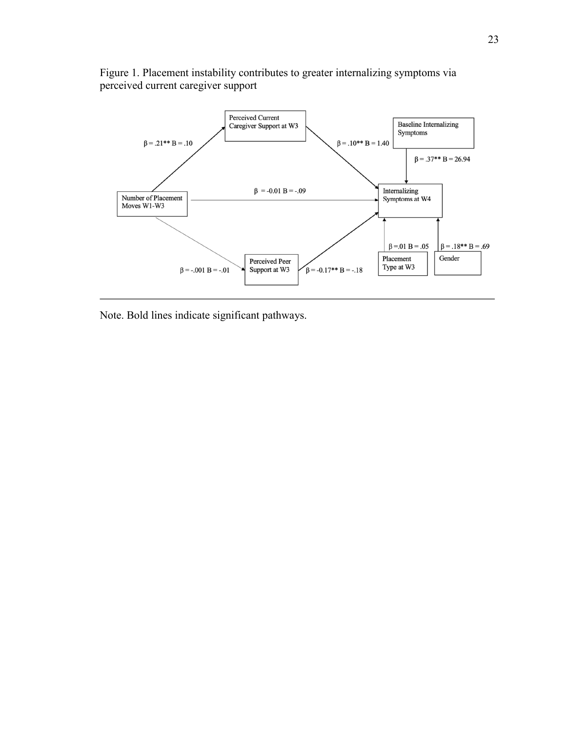

Figure 1. Placement instability contributes to greater internalizing symptoms via perceived current caregiver support

Note. Bold lines indicate significant pathways.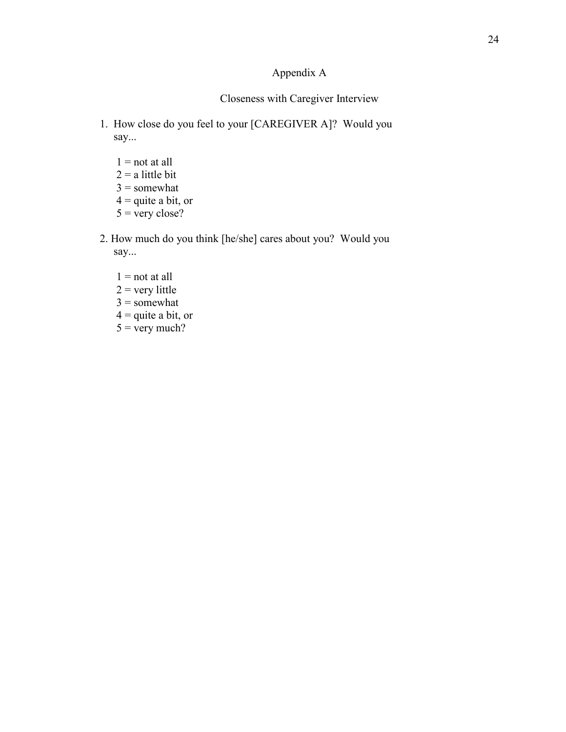## Appendix A

## Closeness with Caregiver Interview

- 1. How close do you feel to your [CAREGIVER A]? Would you say...
	- $1 = not at all$
	- $2 = a$  little bit
	- $3 =$ somewhat
	- $4 =$  quite a bit, or
	- $5 =$  very close?
- 2. How much do you think [he/she] cares about you? Would you say...
	- $1 = not at all$  $2 =$  very little  $3 =$ somewhat  $4 =$  quite a bit, or  $5 = \text{very much?}$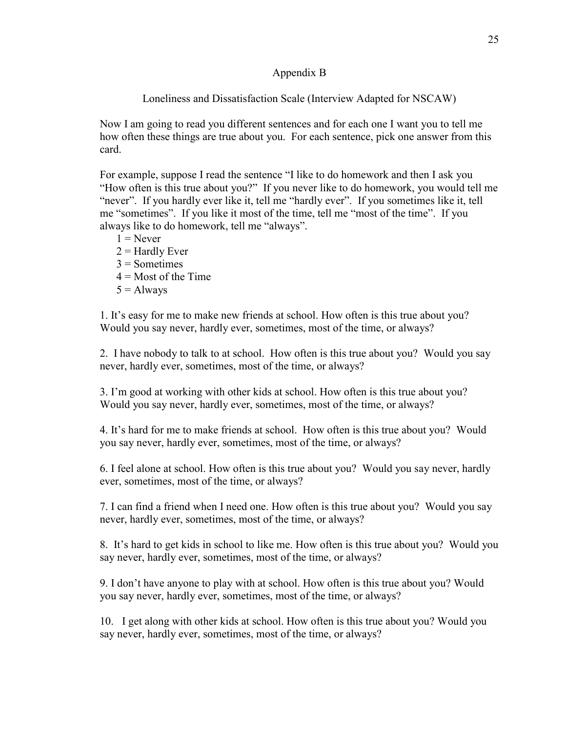### Appendix B

## Loneliness and Dissatisfaction Scale (Interview Adapted for NSCAW)

Now I am going to read you different sentences and for each one I want you to tell me how often these things are true about you. For each sentence, pick one answer from this card.

For example, suppose I read the sentence "I like to do homework and then I ask you "How often is this true about you?" If you never like to do homework, you would tell me "never". If you hardly ever like it, tell me "hardly ever". If you sometimes like it, tell me "sometimes". If you like it most of the time, tell me "most of the time". If you always like to do homework, tell me "always".

 $1 =$ Never  $2 =$  Hardly Ever  $3$  = Sometimes  $4 =$ Most of the Time  $5 =$  Always

1. It's easy for me to make new friends at school. How often is this true about you? Would you say never, hardly ever, sometimes, most of the time, or always?

2. I have nobody to talk to at school. How often is this true about you? Would you say never, hardly ever, sometimes, most of the time, or always?

3. I'm good at working with other kids at school. How often is this true about you? Would you say never, hardly ever, sometimes, most of the time, or always?

4. It's hard for me to make friends at school. How often is this true about you? Would you say never, hardly ever, sometimes, most of the time, or always?

6. I feel alone at school. How often is this true about you? Would you say never, hardly ever, sometimes, most of the time, or always?

7. I can find a friend when I need one. How often is this true about you? Would you say never, hardly ever, sometimes, most of the time, or always?

8. It's hard to get kids in school to like me. How often is this true about you? Would you say never, hardly ever, sometimes, most of the time, or always?

9. I don't have anyone to play with at school. How often is this true about you? Would you say never, hardly ever, sometimes, most of the time, or always?

10. I get along with other kids at school. How often is this true about you? Would you say never, hardly ever, sometimes, most of the time, or always?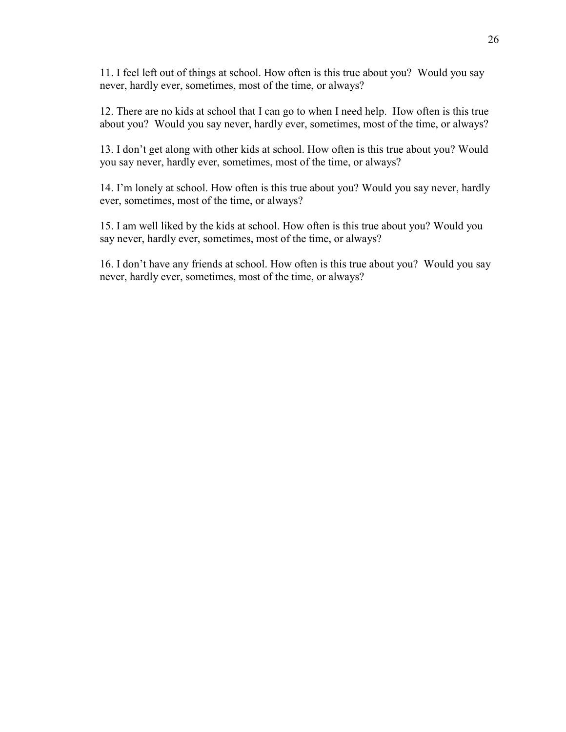11. I feel left out of things at school. How often is this true about you? Would you say never, hardly ever, sometimes, most of the time, or always?

12. There are no kids at school that I can go to when I need help. How often is this true about you? Would you say never, hardly ever, sometimes, most of the time, or always?

13. I don't get along with other kids at school. How often is this true about you? Would you say never, hardly ever, sometimes, most of the time, or always?

14. I'm lonely at school. How often is this true about you? Would you say never, hardly ever, sometimes, most of the time, or always?

15. I am well liked by the kids at school. How often is this true about you? Would you say never, hardly ever, sometimes, most of the time, or always?

16. I don't have any friends at school. How often is this true about you? Would you say never, hardly ever, sometimes, most of the time, or always?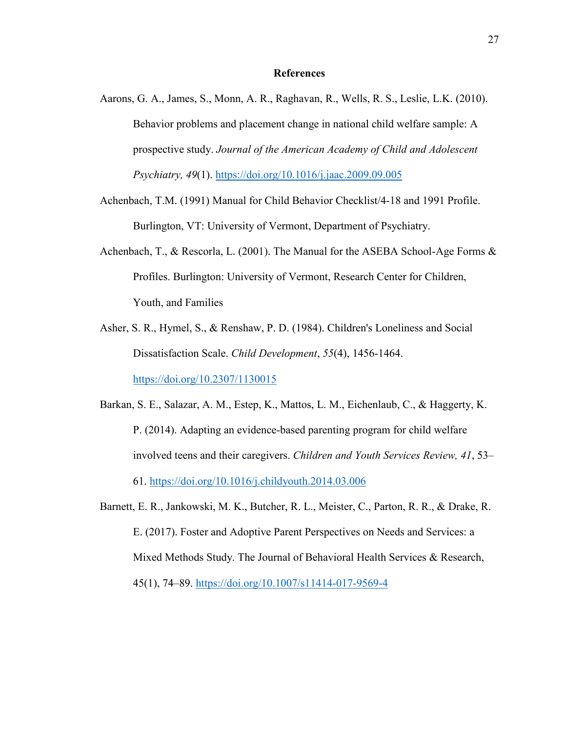#### **References**

- Aarons, G. A., James, S., Monn, A. R., Raghavan, R., Wells, R. S., Leslie, L.K. (2010). Behavior problems and placement change in national child welfare sample: A prospective study. *Journal of the American Academy of Child and Adolescent Psychiatry, 49*(1). https://doi.org/10.1016/j.jaac.2009.09.005
- Achenbach, T.M. (1991) Manual for Child Behavior Checklist/4-18 and 1991 Profile. Burlington, VT: University of Vermont, Department of Psychiatry.
- Achenbach, T., & Rescorla, L. (2001). The Manual for the ASEBA School-Age Forms  $\&$ Profiles. Burlington: University of Vermont, Research Center for Children, Youth, and Families
- Asher, S. R., Hymel, S., & Renshaw, P. D. (1984). Children's Loneliness and Social Dissatisfaction Scale. *Child Development*, *55*(4), 1456-1464. https://doi.org/10.2307/1130015
- Barkan, S. E., Salazar, A. M., Estep, K., Mattos, L. M., Eichenlaub, C., & Haggerty, K. P. (2014). Adapting an evidence-based parenting program for child welfare involved teens and their caregivers. *Children and Youth Services Review, 41*, 53– 61. https://doi.org/10.1016/j.childyouth.2014.03.006
- Barnett, E. R., Jankowski, M. K., Butcher, R. L., Meister, C., Parton, R. R., & Drake, R. E. (2017). Foster and Adoptive Parent Perspectives on Needs and Services: a Mixed Methods Study. The Journal of Behavioral Health Services & Research, 45(1), 74–89. https://doi.org/10.1007/s11414-017-9569-4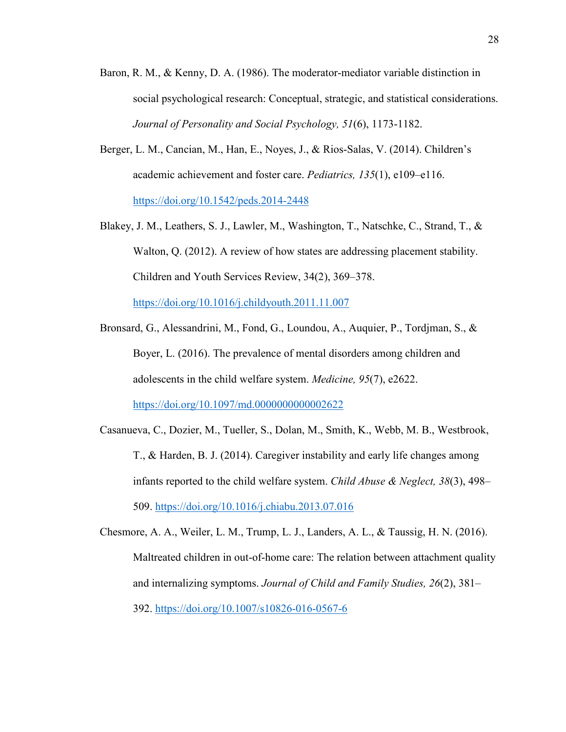- Baron, R. M., & Kenny, D. A. (1986). The moderator-mediator variable distinction in social psychological research: Conceptual, strategic, and statistical considerations. *Journal of Personality and Social Psychology, 51*(6), 1173-1182.
- Berger, L. M., Cancian, M., Han, E., Noyes, J., & Rios-Salas, V. (2014). Children's academic achievement and foster care. *Pediatrics, 135*(1), e109–e116. https://doi.org/10.1542/peds.2014-2448
- Blakey, J. M., Leathers, S. J., Lawler, M., Washington, T., Natschke, C., Strand, T., & Walton, Q. (2012). A review of how states are addressing placement stability. Children and Youth Services Review, 34(2), 369–378.

https://doi.org/10.1016/j.childyouth.2011.11.007

- Bronsard, G., Alessandrini, M., Fond, G., Loundou, A., Auquier, P., Tordjman, S., & Boyer, L. (2016). The prevalence of mental disorders among children and adolescents in the child welfare system. *Medicine, 95*(7), e2622. https://doi.org/10.1097/md.0000000000002622
- Casanueva, C., Dozier, M., Tueller, S., Dolan, M., Smith, K., Webb, M. B., Westbrook, T., & Harden, B. J. (2014). Caregiver instability and early life changes among infants reported to the child welfare system. *Child Abuse & Neglect, 38*(3), 498– 509. https://doi.org/10.1016/j.chiabu.2013.07.016
- Chesmore, A. A., Weiler, L. M., Trump, L. J., Landers, A. L., & Taussig, H. N. (2016). Maltreated children in out-of-home care: The relation between attachment quality and internalizing symptoms. *Journal of Child and Family Studies, 26*(2), 381– 392. https://doi.org/10.1007/s10826-016-0567-6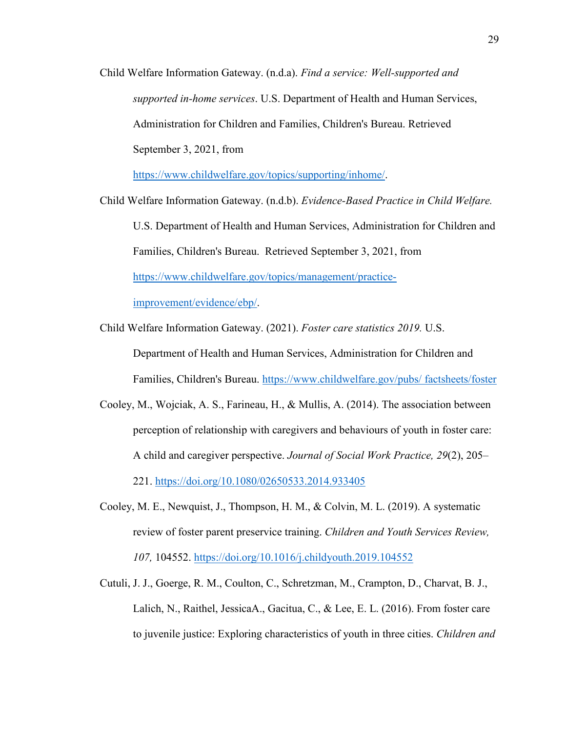Child Welfare Information Gateway. (n.d.a). *Find a service: Well-supported and supported in-home services*. U.S. Department of Health and Human Services, Administration for Children and Families, Children's Bureau. Retrieved September 3, 2021, from

https://www.childwelfare.gov/topics/supporting/inhome/.

Child Welfare Information Gateway. (n.d.b). *Evidence-Based Practice in Child Welfare.*

U.S. Department of Health and Human Services, Administration for Children and Families, Children's Bureau. Retrieved September 3, 2021, from https://www.childwelfare.gov/topics/management/practice-

improvement/evidence/ebp/.

- Child Welfare Information Gateway. (2021). *Foster care statistics 2019.* U.S. Department of Health and Human Services, Administration for Children and Families, Children's Bureau. https://www.childwelfare.gov/pubs/ factsheets/foster
- Cooley, M., Wojciak, A. S., Farineau, H., & Mullis, A. (2014). The association between perception of relationship with caregivers and behaviours of youth in foster care: A child and caregiver perspective. *Journal of Social Work Practice, 29*(2), 205– 221. https://doi.org/10.1080/02650533.2014.933405
- Cooley, M. E., Newquist, J., Thompson, H. M., & Colvin, M. L. (2019). A systematic review of foster parent preservice training. *Children and Youth Services Review, 107,* 104552. https://doi.org/10.1016/j.childyouth.2019.104552
- Cutuli, J. J., Goerge, R. M., Coulton, C., Schretzman, M., Crampton, D., Charvat, B. J., Lalich, N., Raithel, JessicaA., Gacitua, C., & Lee, E. L. (2016). From foster care to juvenile justice: Exploring characteristics of youth in three cities. *Children and*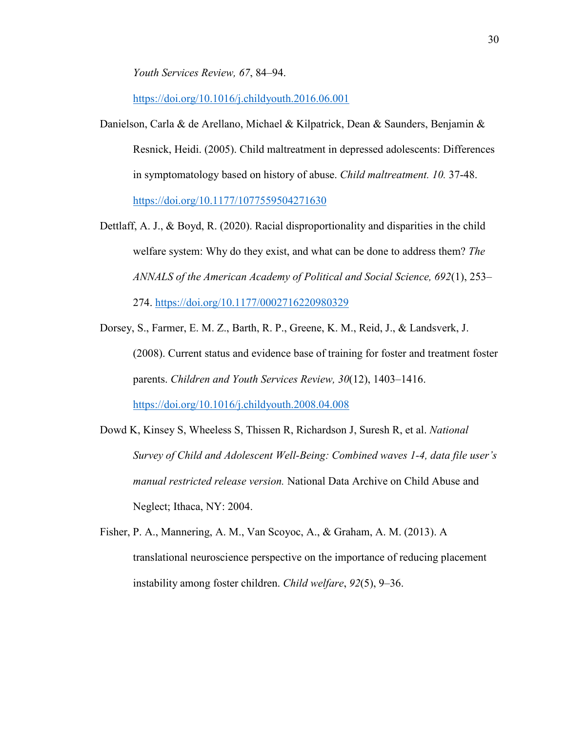*Youth Services Review, 67*, 84–94.

https://doi.org/10.1016/j.childyouth.2016.06.001

- Danielson, Carla & de Arellano, Michael & Kilpatrick, Dean & Saunders, Benjamin & Resnick, Heidi. (2005). Child maltreatment in depressed adolescents: Differences in symptomatology based on history of abuse. *Child maltreatment. 10.* 37-48. https://doi.org/10.1177/1077559504271630
- Dettlaff, A. J., & Boyd, R. (2020). Racial disproportionality and disparities in the child welfare system: Why do they exist, and what can be done to address them? *The ANNALS of the American Academy of Political and Social Science, 692*(1), 253– 274. https://doi.org/10.1177/0002716220980329
- Dorsey, S., Farmer, E. M. Z., Barth, R. P., Greene, K. M., Reid, J., & Landsverk, J. (2008). Current status and evidence base of training for foster and treatment foster parents. *Children and Youth Services Review, 30*(12), 1403–1416. https://doi.org/10.1016/j.childyouth.2008.04.008
- Dowd K, Kinsey S, Wheeless S, Thissen R, Richardson J, Suresh R, et al. *National Survey of Child and Adolescent Well-Being: Combined waves 1-4, data file user's manual restricted release version.* National Data Archive on Child Abuse and Neglect; Ithaca, NY: 2004.
- Fisher, P. A., Mannering, A. M., Van Scoyoc, A., & Graham, A. M. (2013). A translational neuroscience perspective on the importance of reducing placement instability among foster children. *Child welfare*, *92*(5), 9–36.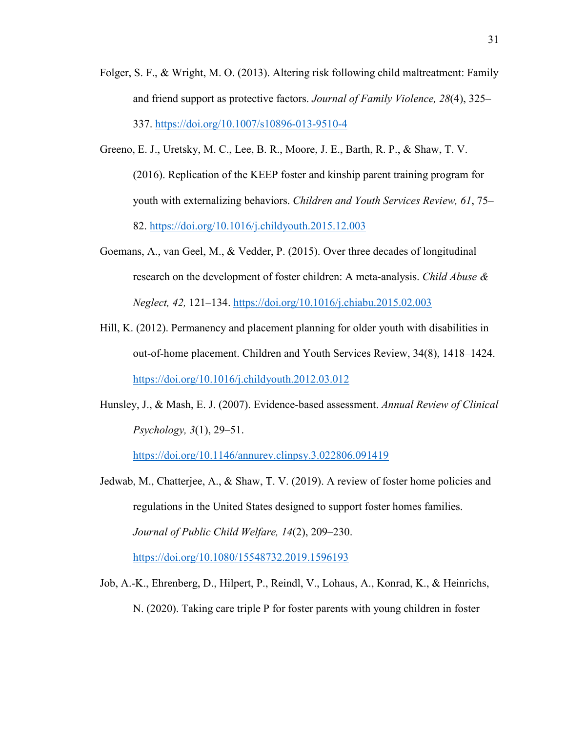- Folger, S. F., & Wright, M. O. (2013). Altering risk following child maltreatment: Family and friend support as protective factors. *Journal of Family Violence, 28*(4), 325– 337. https://doi.org/10.1007/s10896-013-9510-4
- Greeno, E. J., Uretsky, M. C., Lee, B. R., Moore, J. E., Barth, R. P., & Shaw, T. V. (2016). Replication of the KEEP foster and kinship parent training program for youth with externalizing behaviors. *Children and Youth Services Review, 61*, 75– 82. https://doi.org/10.1016/j.childyouth.2015.12.003
- Goemans, A., van Geel, M., & Vedder, P. (2015). Over three decades of longitudinal research on the development of foster children: A meta-analysis. *Child Abuse & Neglect, 42,* 121–134. https://doi.org/10.1016/j.chiabu.2015.02.003
- Hill, K. (2012). Permanency and placement planning for older youth with disabilities in out-of-home placement. Children and Youth Services Review, 34(8), 1418–1424. https://doi.org/10.1016/j.childyouth.2012.03.012
- Hunsley, J., & Mash, E. J. (2007). Evidence-based assessment. *Annual Review of Clinical Psychology, 3*(1), 29–51.

https://doi.org/10.1146/annurev.clinpsy.3.022806.091419

- Jedwab, M., Chatterjee, A., & Shaw, T. V. (2019). A review of foster home policies and regulations in the United States designed to support foster homes families. *Journal of Public Child Welfare, 14*(2), 209–230. https://doi.org/10.1080/15548732.2019.1596193
- Job, A.-K., Ehrenberg, D., Hilpert, P., Reindl, V., Lohaus, A., Konrad, K., & Heinrichs, N. (2020). Taking care triple P for foster parents with young children in foster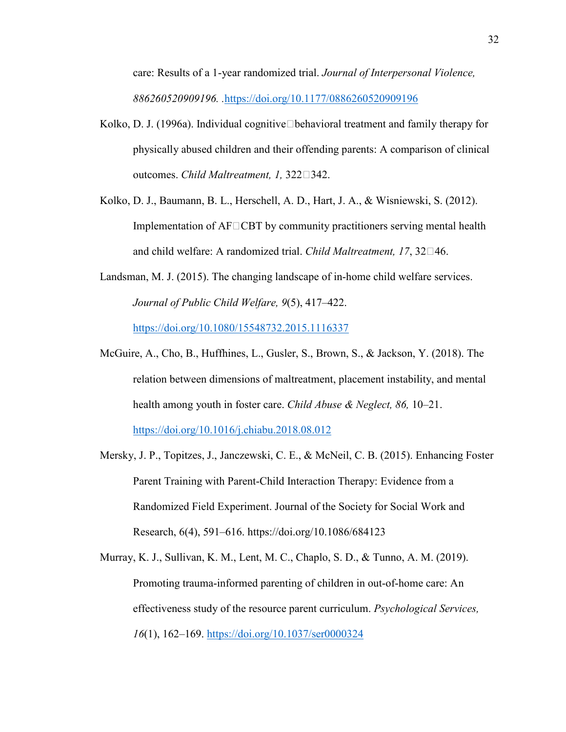care: Results of a 1-year randomized trial. *Journal of Interpersonal Violence, 886260520909196. .*https://doi.org/10.1177/0886260520909196

- Kolko, D. J. (1996a). Individual cognitive behavioral treatment and family therapy for physically abused children and their offending parents: A comparison of clinical outcomes. *Child Maltreatment, 1, 322*<sup>[1]</sup>342.
- Kolko, D. J., Baumann, B. L., Herschell, A. D., Hart, J. A., & Wisniewski, S. (2012). Implementation of  $AF \Box CBT$  by community practitioners serving mental health and child welfare: A randomized trial. *Child Maltreatment, 17*, 32□46.
- Landsman, M. J. (2015). The changing landscape of in-home child welfare services. *Journal of Public Child Welfare, 9*(5), 417–422. https://doi.org/10.1080/15548732.2015.1116337
- McGuire, A., Cho, B., Huffhines, L., Gusler, S., Brown, S., & Jackson, Y. (2018). The relation between dimensions of maltreatment, placement instability, and mental health among youth in foster care. *Child Abuse & Neglect, 86,* 10–21. https://doi.org/10.1016/j.chiabu.2018.08.012
- Mersky, J. P., Topitzes, J., Janczewski, C. E., & McNeil, C. B. (2015). Enhancing Foster Parent Training with Parent-Child Interaction Therapy: Evidence from a Randomized Field Experiment. Journal of the Society for Social Work and Research, 6(4), 591–616. https://doi.org/10.1086/684123
- Murray, K. J., Sullivan, K. M., Lent, M. C., Chaplo, S. D., & Tunno, A. M. (2019). Promoting trauma-informed parenting of children in out-of-home care: An effectiveness study of the resource parent curriculum. *Psychological Services, 16*(1), 162–169. https://doi.org/10.1037/ser0000324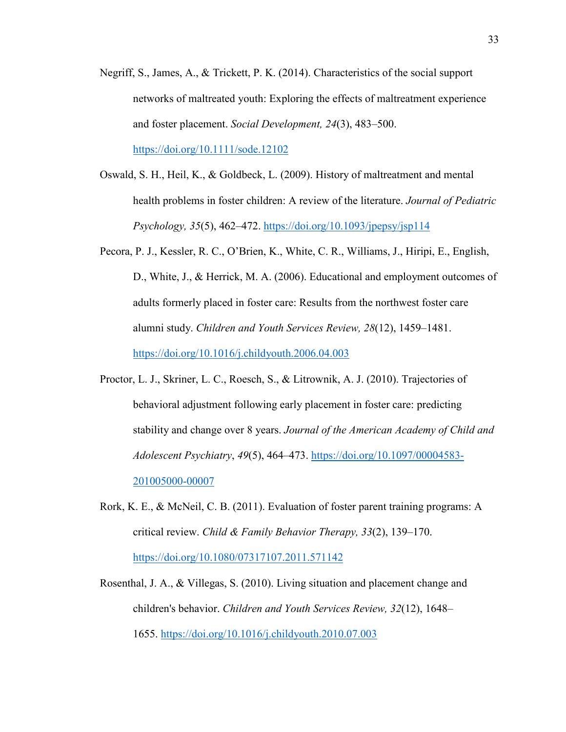- Negriff, S., James, A., & Trickett, P. K. (2014). Characteristics of the social support networks of maltreated youth: Exploring the effects of maltreatment experience and foster placement. *Social Development, 24*(3), 483–500. https://doi.org/10.1111/sode.12102
- Oswald, S. H., Heil, K., & Goldbeck, L. (2009). History of maltreatment and mental health problems in foster children: A review of the literature. *Journal of Pediatric Psychology, 35*(5), 462–472. https://doi.org/10.1093/jpepsy/jsp114
- Pecora, P. J., Kessler, R. C., O'Brien, K., White, C. R., Williams, J., Hiripi, E., English, D., White, J., & Herrick, M. A. (2006). Educational and employment outcomes of adults formerly placed in foster care: Results from the northwest foster care alumni study. *Children and Youth Services Review, 28*(12), 1459–1481. https://doi.org/10.1016/j.childyouth.2006.04.003
- Proctor, L. J., Skriner, L. C., Roesch, S., & Litrownik, A. J. (2010). Trajectories of behavioral adjustment following early placement in foster care: predicting stability and change over 8 years. *Journal of the American Academy of Child and Adolescent Psychiatry*, *49*(5), 464–473. https://doi.org/10.1097/00004583- 201005000-00007
- Rork, K. E., & McNeil, C. B. (2011). Evaluation of foster parent training programs: A critical review. *Child & Family Behavior Therapy, 33*(2), 139–170. https://doi.org/10.1080/07317107.2011.571142
- Rosenthal, J. A., & Villegas, S. (2010). Living situation and placement change and children's behavior. *Children and Youth Services Review, 32*(12), 1648– 1655. https://doi.org/10.1016/j.childyouth.2010.07.003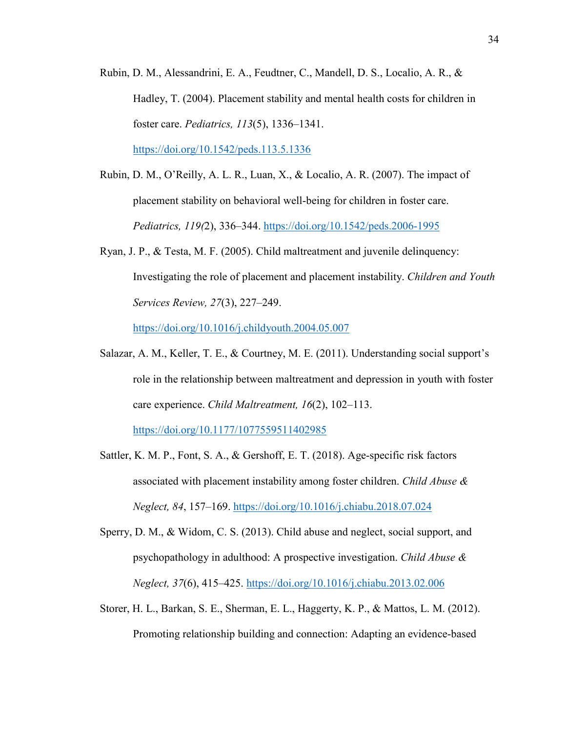Rubin, D. M., Alessandrini, E. A., Feudtner, C., Mandell, D. S., Localio, A. R., & Hadley, T. (2004). Placement stability and mental health costs for children in foster care. *Pediatrics, 113*(5), 1336–1341.

https://doi.org/10.1542/peds.113.5.1336

- Rubin, D. M., O'Reilly, A. L. R., Luan, X., & Localio, A. R. (2007). The impact of placement stability on behavioral well-being for children in foster care. *Pediatrics, 119(*2), 336–344. https://doi.org/10.1542/peds.2006-1995
- Ryan, J. P., & Testa, M. F. (2005). Child maltreatment and juvenile delinquency: Investigating the role of placement and placement instability. *Children and Youth Services Review, 27*(3), 227–249.

https://doi.org/10.1016/j.childyouth.2004.05.007

Salazar, A. M., Keller, T. E., & Courtney, M. E. (2011). Understanding social support's role in the relationship between maltreatment and depression in youth with foster care experience. *Child Maltreatment, 16*(2), 102–113.

https://doi.org/10.1177/1077559511402985

- Sattler, K. M. P., Font, S. A., & Gershoff, E. T. (2018). Age-specific risk factors associated with placement instability among foster children. *Child Abuse & Neglect, 84*, 157–169. https://doi.org/10.1016/j.chiabu.2018.07.024
- Sperry, D. M., & Widom, C. S. (2013). Child abuse and neglect, social support, and psychopathology in adulthood: A prospective investigation. *Child Abuse & Neglect, 37*(6), 415–425. https://doi.org/10.1016/j.chiabu.2013.02.006
- Storer, H. L., Barkan, S. E., Sherman, E. L., Haggerty, K. P., & Mattos, L. M. (2012). Promoting relationship building and connection: Adapting an evidence-based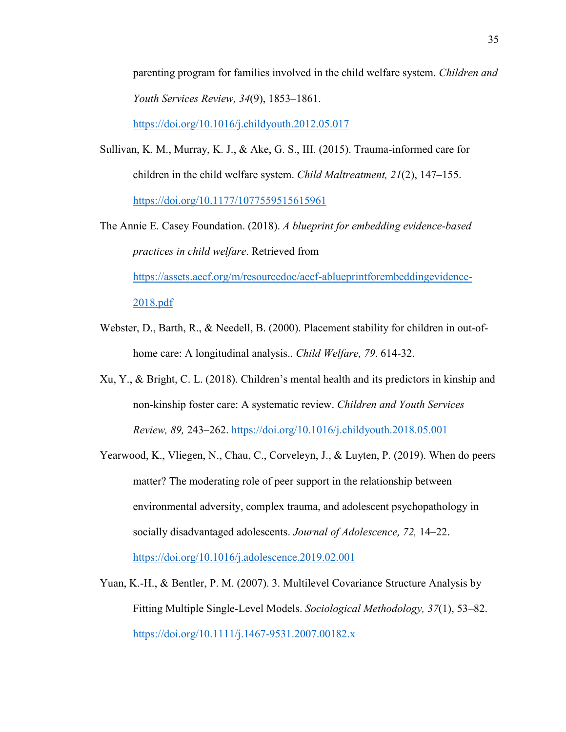parenting program for families involved in the child welfare system. *Children and Youth Services Review, 34*(9), 1853–1861.

https://doi.org/10.1016/j.childyouth.2012.05.017

- Sullivan, K. M., Murray, K. J., & Ake, G. S., III. (2015). Trauma-informed care for children in the child welfare system. *Child Maltreatment, 21*(2), 147–155. https://doi.org/10.1177/1077559515615961
- The Annie E. Casey Foundation. (2018). *A blueprint for embedding evidence-based practices in child welfare*. Retrieved from https://assets.aecf.org/m/resourcedoc/aecf-ablueprintforembeddingevidence-2018.pdf
- Webster, D., Barth, R., & Needell, B. (2000). Placement stability for children in out-ofhome care: A longitudinal analysis.. *Child Welfare, 79*. 614-32.
- Xu, Y., & Bright, C. L. (2018). Children's mental health and its predictors in kinship and non-kinship foster care: A systematic review. *Children and Youth Services Review, 89,* 243–262. https://doi.org/10.1016/j.childyouth.2018.05.001
- Yearwood, K., Vliegen, N., Chau, C., Corveleyn, J., & Luyten, P. (2019). When do peers matter? The moderating role of peer support in the relationship between environmental adversity, complex trauma, and adolescent psychopathology in socially disadvantaged adolescents. *Journal of Adolescence, 72,* 14–22. https://doi.org/10.1016/j.adolescence.2019.02.001
- Yuan, K.-H., & Bentler, P. M. (2007). 3. Multilevel Covariance Structure Analysis by Fitting Multiple Single-Level Models. *Sociological Methodology, 37*(1), 53–82. https://doi.org/10.1111/j.1467-9531.2007.00182.x